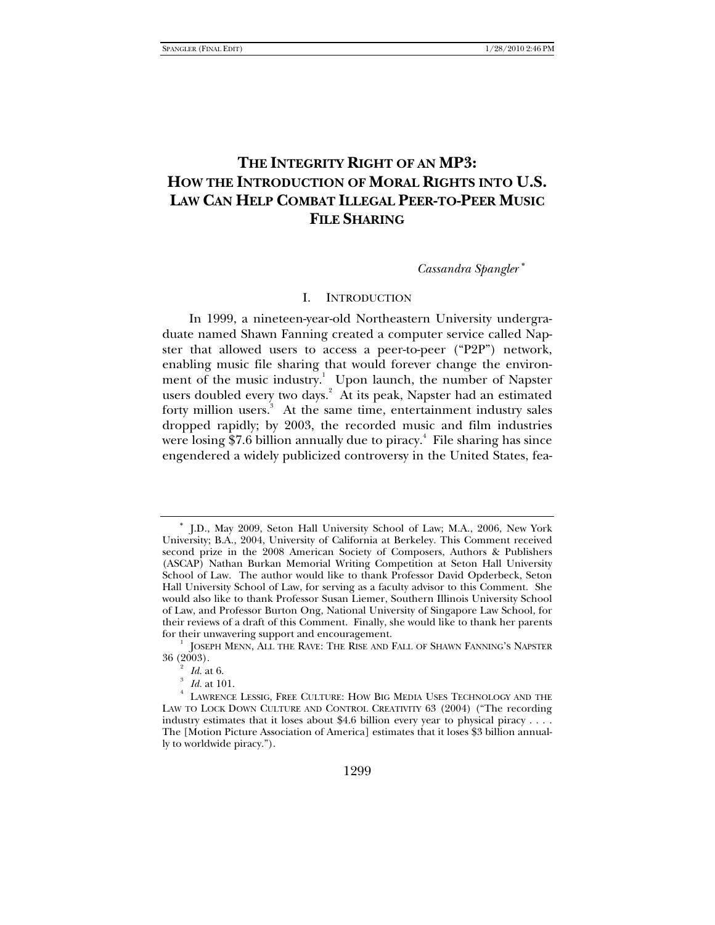# **THE INTEGRITY RIGHT OF AN MP3: HOW THE INTRODUCTION OF MORAL RIGHTS INTO U.S. LAW CAN HELP COMBAT ILLEGAL PEER-TO-PEER MUSIC FILE SHARING**

*Cassandra Spangler* <sup>∗</sup>

### I. INTRODUCTION

In 1999, a nineteen-year-old Northeastern University undergraduate named Shawn Fanning created a computer service called Napster that allowed users to access a peer-to-peer ("P2P") network, enabling music file sharing that would forever change the environment of the music industry.<sup>1</sup> Upon launch, the number of Napster users doubled every two days.<sup>2</sup> At its peak, Napster had an estimated forty million users.<sup>3</sup> At the same time, entertainment industry sales dropped rapidly; by 2003, the recorded music and film industries were losing \$7.6 billion annually due to piracy.<sup>4</sup> File sharing has since engendered a widely publicized controversy in the United States, fea-

<sup>∗</sup> J.D., May 2009, Seton Hall University School of Law; M.A., 2006, New York University; B.A., 2004, University of California at Berkeley. This Comment received second prize in the 2008 American Society of Composers, Authors & Publishers (ASCAP) Nathan Burkan Memorial Writing Competition at Seton Hall University School of Law. The author would like to thank Professor David Opderbeck, Seton Hall University School of Law, for serving as a faculty advisor to this Comment. She would also like to thank Professor Susan Liemer, Southern Illinois University School of Law, and Professor Burton Ong, National University of Singapore Law School, for their reviews of a draft of this Comment. Finally, she would like to thank her parents for their unwavering support and encouragement.

JOSEPH MENN, ALL THE RAVE: THE RISE AND FALL OF SHAWN FANNING'S NAPSTER  $36(2003)$ .

 $\frac{2}{3}$  *Id.* at 6.

*Id.* at 101.

LAWRENCE LESSIG, FREE CULTURE: HOW BIG MEDIA USES TECHNOLOGY AND THE LAW TO LOCK DOWN CULTURE AND CONTROL CREATIVITY 63 (2004) ("The recording industry estimates that it loses about \$4.6 billion every year to physical piracy . . . . The [Motion Picture Association of America] estimates that it loses \$3 billion annually to worldwide piracy.").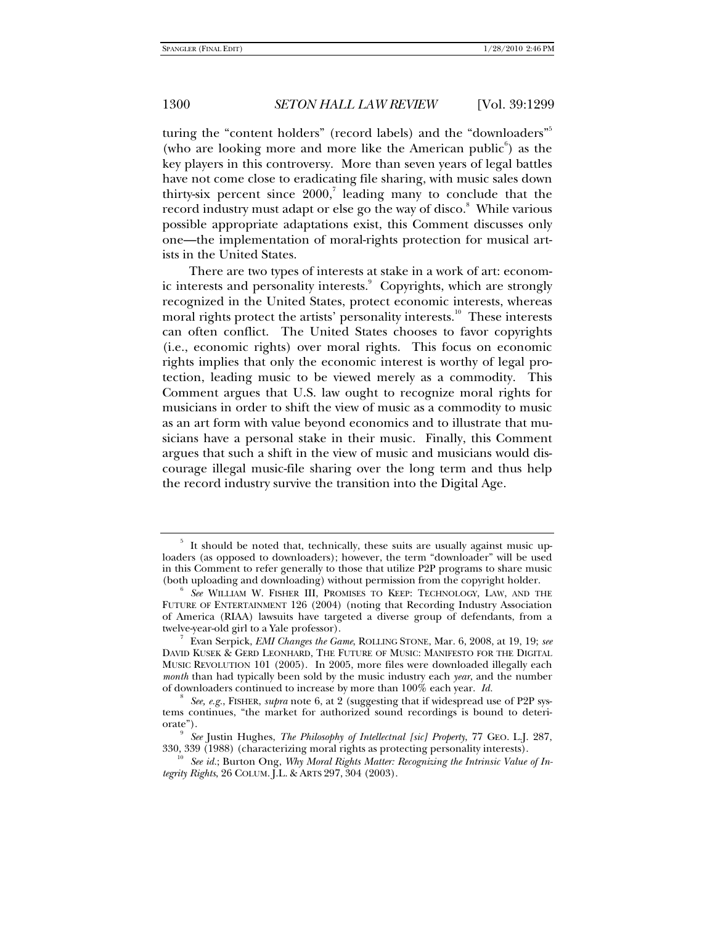turing the "content holders" (record labels) and the "downloaders"<sup>5</sup> (who are looking more and more like the American public $\epsilon$ ) as the key players in this controversy. More than seven years of legal battles have not come close to eradicating file sharing, with music sales down thirty-six percent since  $2000$ ,<sup>7</sup> leading many to conclude that the record industry must adapt or else go the way of disco.<sup>8</sup> While various possible appropriate adaptations exist, this Comment discusses only one—the implementation of moral-rights protection for musical artists in the United States.

There are two types of interests at stake in a work of art: economic interests and personality interests.<sup>9</sup> Copyrights, which are strongly recognized in the United States, protect economic interests, whereas moral rights protect the artists' personality interests.<sup>10</sup> These interests can often conflict. The United States chooses to favor copyrights (i.e., economic rights) over moral rights. This focus on economic rights implies that only the economic interest is worthy of legal protection, leading music to be viewed merely as a commodity. This Comment argues that U.S. law ought to recognize moral rights for musicians in order to shift the view of music as a commodity to music as an art form with value beyond economics and to illustrate that musicians have a personal stake in their music. Finally, this Comment argues that such a shift in the view of music and musicians would discourage illegal music-file sharing over the long term and thus help the record industry survive the transition into the Digital Age.

<sup>5</sup> It should be noted that, technically, these suits are usually against music uploaders (as opposed to downloaders); however, the term "downloader" will be used in this Comment to refer generally to those that utilize P2P programs to share music (both uploading and downloading) without permission from the copyright holder. 6

*See* WILLIAM W. FISHER III, PROMISES TO KEEP: TECHNOLOGY, LAW, AND THE FUTURE OF ENTERTAINMENT 126 (2004) (noting that Recording Industry Association of America (RIAA) lawsuits have targeted a diverse group of defendants, from a twelve-year-old girl to a Yale professor).

Evan Serpick, *EMI Changes the Game*, ROLLING STONE, Mar. 6, 2008, at 19, 19; *see*  DAVID KUSEK & GERD LEONHARD, THE FUTURE OF MUSIC: MANIFESTO FOR THE DIGITAL MUSIC REVOLUTION 101 (2005). In 2005, more files were downloaded illegally each *month* than had typically been sold by the music industry each *year*, and the number of downloaders continued to increase by more than 100% each year. *Id.* 

*See, e.g.*, FISHER, *supra* note 6, at 2 (suggesting that if widespread use of P2P systems continues, "the market for authorized sound recordings is bound to deteriorate").

<sup>&</sup>lt;sup>9</sup> See Justin Hughes, *The Philosophy of Intellectnal [sic] Property*, 77 GEO. L.J. 287, 330, 339 (1988) (characterizing moral rights as protecting personality interests).

<sup>&</sup>lt;sup>10</sup> See id.; Burton Ong, *Why Moral Rights Matter: Recognizing the Intrinsic Value of Integrity Rights*, 26 COLUM. J.L. & ARTS 297, 304 (2003).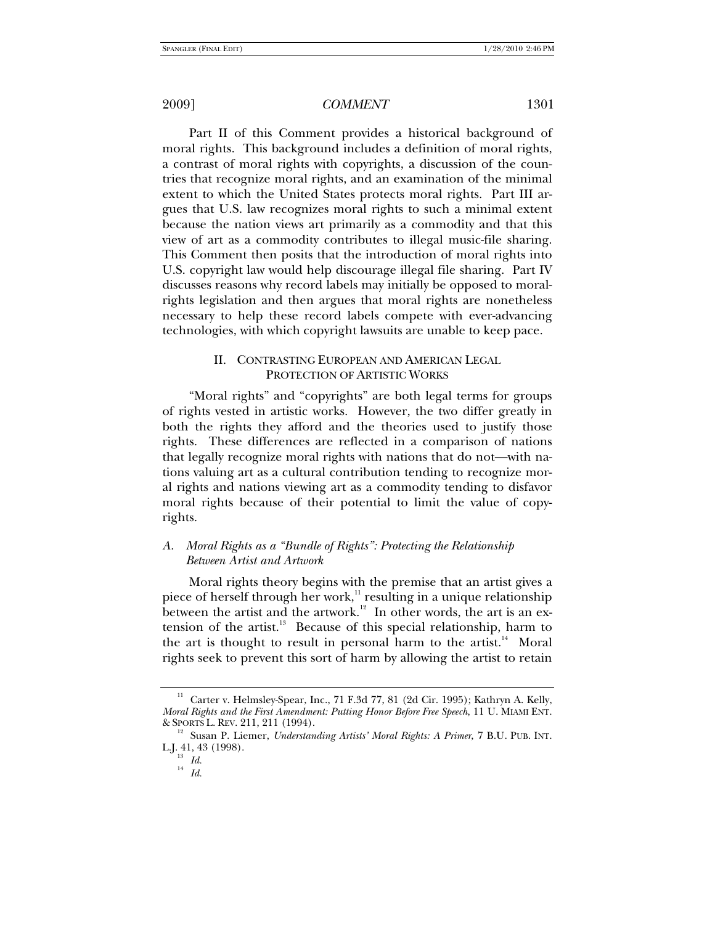Part II of this Comment provides a historical background of moral rights. This background includes a definition of moral rights, a contrast of moral rights with copyrights, a discussion of the countries that recognize moral rights, and an examination of the minimal extent to which the United States protects moral rights. Part III argues that U.S. law recognizes moral rights to such a minimal extent because the nation views art primarily as a commodity and that this view of art as a commodity contributes to illegal music-file sharing. This Comment then posits that the introduction of moral rights into U.S. copyright law would help discourage illegal file sharing. Part IV discusses reasons why record labels may initially be opposed to moralrights legislation and then argues that moral rights are nonetheless necessary to help these record labels compete with ever-advancing technologies, with which copyright lawsuits are unable to keep pace.

# II. CONTRASTING EUROPEAN AND AMERICAN LEGAL PROTECTION OF ARTISTIC WORKS

"Moral rights" and "copyrights" are both legal terms for groups of rights vested in artistic works. However, the two differ greatly in both the rights they afford and the theories used to justify those rights. These differences are reflected in a comparison of nations that legally recognize moral rights with nations that do not—with nations valuing art as a cultural contribution tending to recognize moral rights and nations viewing art as a commodity tending to disfavor moral rights because of their potential to limit the value of copyrights.

# *A. Moral Rights as a "Bundle of Rights": Protecting the Relationship Between Artist and Artwork*

Moral rights theory begins with the premise that an artist gives a piece of herself through her work, $11$  resulting in a unique relationship between the artist and the artwork. $12$  In other words, the art is an extension of the artist. $13$  Because of this special relationship, harm to the art is thought to result in personal harm to the artist.<sup>14</sup> Moral rights seek to prevent this sort of harm by allowing the artist to retain

<sup>11</sup> Carter v. Helmsley-Spear, Inc., 71 F.3d 77, 81 (2d Cir. 1995); Kathryn A. Kelly, *Moral Rights and the First Amendment: Putting Honor Before Free Speech*, 11 U. MIAMI ENT. & SPORTS L. REV. 211, 211 (1994). 12 Susan P. Liemer, *Understanding Artists' Moral Rights: A Primer*, 7 B.U. PUB. INT.

L.J. 41, 43 (1998).

 $\begin{array}{cc} ^{13} & Id. \\ ^{14} & Id. \end{array}$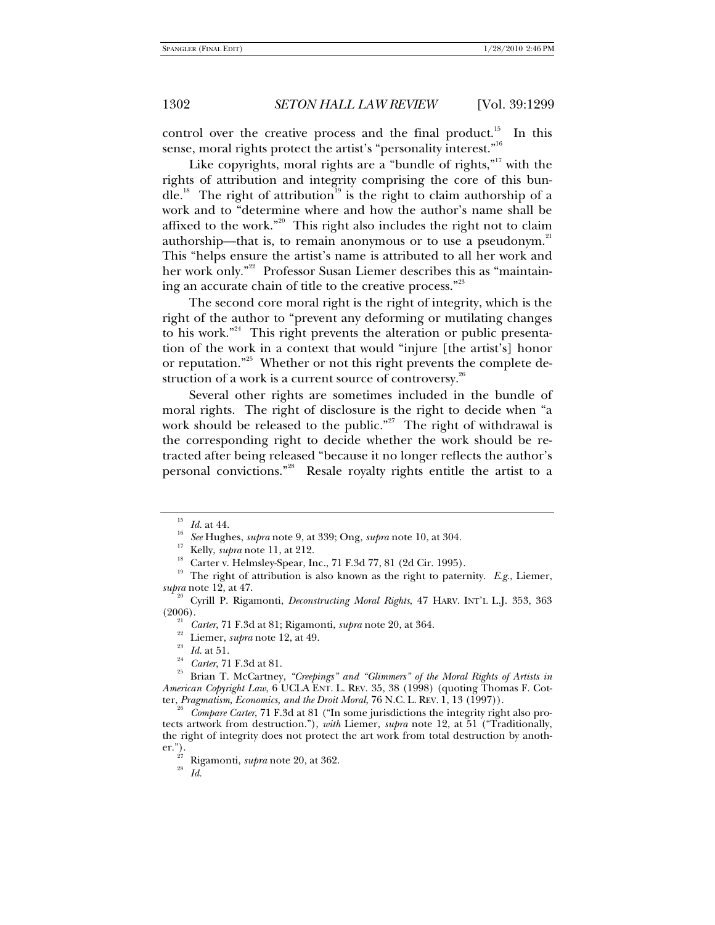control over the creative process and the final product.<sup>15</sup> In this sense, moral rights protect the artist's "personality interest."<sup>16</sup>

Like copyrights, moral rights are a "bundle of rights, $n^{17}$  with the rights of attribution and integrity comprising the core of this bundle.<sup>18</sup> The right of attribution<sup>19</sup> is the right to claim authorship of a work and to "determine where and how the author's name shall be affixed to the work."20 This right also includes the right not to claim authorship—that is, to remain anonymous or to use a pseudonym. $21$ This "helps ensure the artist's name is attributed to all her work and her work only."<sup>22</sup> Professor Susan Liemer describes this as "maintaining an accurate chain of title to the creative process."<sup>23</sup>

The second core moral right is the right of integrity, which is the right of the author to "prevent any deforming or mutilating changes to his work."<sup>24</sup> This right prevents the alteration or public presentation of the work in a context that would "injure [the artist's] honor or reputation."<sup>25</sup> Whether or not this right prevents the complete destruction of a work is a current source of controversy. $26$ 

Several other rights are sometimes included in the bundle of moral rights. The right of disclosure is the right to decide when "a work should be released to the public."<sup>27</sup> The right of withdrawal is the corresponding right to decide whether the work should be retracted after being released "because it no longer reflects the author's personal convictions."<sup>28</sup> Resale royalty rights entitle the artist to a

<sup>&</sup>lt;sup>15</sup> Id. at 44.<br><sup>16</sup> See Hughes, *supra* note 9, at 339; Ong, *supra* note 10, at 304.<br><sup>17</sup> Kelly, *supra* note 11, at 212.<br><sup>18</sup> Carter v. Helmsley-Spear, Inc., 71 F.3d 77, 81 (2d Cir. 1995).

<sup>&</sup>lt;sup>19</sup> The right of attribution is also known as the right to paternity. *E.g.*, Liemer, *supra* note 12, at 47. 20 Cyrill P. Rigamonti, *Deconstructing Moral Rights*, 47 HARV. INT'L L.J. 353, 363

<sup>(2006).&</sup>lt;br>
<sup>21</sup> *Carter*, 71 F.3d at 81; Rigamonti, *supra* note 20, at 364.<br>
<sup>22</sup> Liemer, *supra* note 12, at 49.<br>
<sup>23</sup> *Id.* at 51.<br>
<sup>24</sup> *Carter*, 71 F.3d at 81.<br>
<sup>25</sup> Brian T. McCartney, *"Creepings" and "Glimmers" of t* 

*American Copyright Law*, 6 UCLA ENT. L. REV. 35, 38 (1998) (quoting Thomas F. Cotter, *Pragmatism, Economics, and the Droit Moral*, 76 N.C. L. REV. 1, 13 (1997)).

<sup>&</sup>lt;sup>26</sup> Compare Carter, 71 F.3d at 81 ("In some jurisdictions the integrity right also protects artwork from destruction."), *with* Liemer, *supra* note 12, at 51 ("Traditionally, the right of integrity does not protect the art work from total destruction by another."). 27 Rigamonti, *supra* note 20, at 362. 28 *Id.*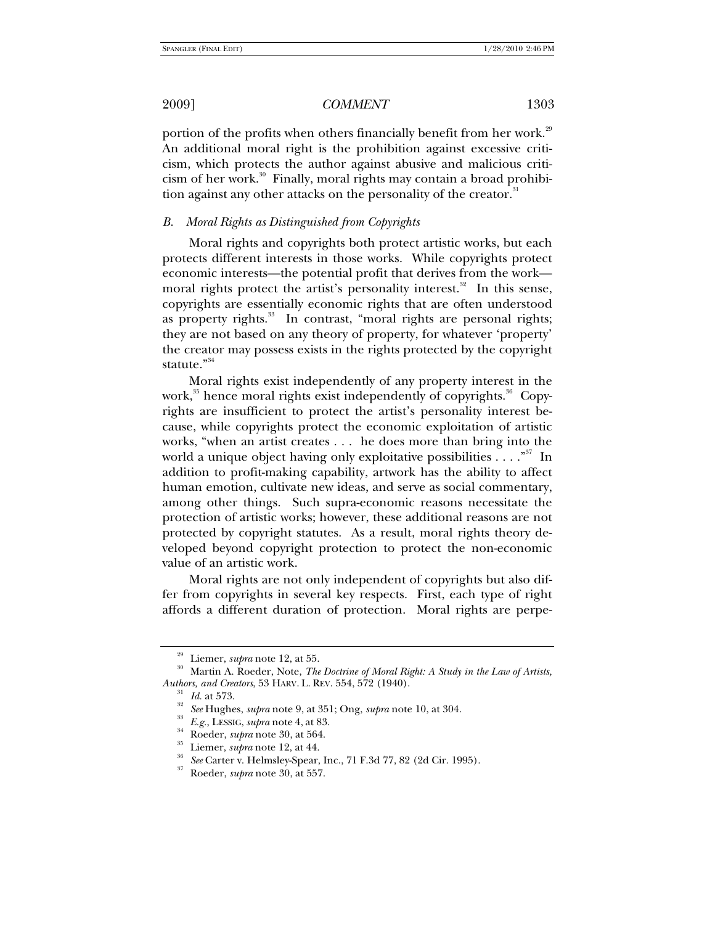portion of the profits when others financially benefit from her work.<sup>29</sup> An additional moral right is the prohibition against excessive criticism, which protects the author against abusive and malicious criticism of her work.<sup>30</sup> Finally, moral rights may contain a broad prohibition against any other attacks on the personality of the creator. $31$ 

#### *B. Moral Rights as Distinguished from Copyrights*

Moral rights and copyrights both protect artistic works, but each protects different interests in those works. While copyrights protect economic interests—the potential profit that derives from the work moral rights protect the artist's personality interest. $32$  In this sense, copyrights are essentially economic rights that are often understood as property rights.<sup>33</sup> In contrast, "moral rights are personal rights; they are not based on any theory of property, for whatever 'property' the creator may possess exists in the rights protected by the copyright statute."<sup>34</sup>

Moral rights exist independently of any property interest in the work,<sup>35</sup> hence moral rights exist independently of copyrights.<sup>36</sup> Copyrights are insufficient to protect the artist's personality interest because, while copyrights protect the economic exploitation of artistic works, "when an artist creates . . . he does more than bring into the world a unique object having only exploitative possibilities  $\dots$ ."<sup>37</sup> In addition to profit-making capability, artwork has the ability to affect human emotion, cultivate new ideas, and serve as social commentary, among other things. Such supra-economic reasons necessitate the protection of artistic works; however, these additional reasons are not protected by copyright statutes. As a result, moral rights theory developed beyond copyright protection to protect the non-economic value of an artistic work.

Moral rights are not only independent of copyrights but also differ from copyrights in several key respects. First, each type of right affords a different duration of protection. Moral rights are perpe-

<sup>&</sup>lt;sup>29</sup> Liemer, *supra* note 12, at 55.<br><sup>30</sup> Martin A. Roeder, Note, *The Doctrine of Moral Right: A Study in the Law of Artists, <br><i>Authors, and Creators*, 53 HARV. L. REV. 554, 572 (1940).

<sup>&</sup>lt;sup>31</sup> *Id.* at 573.<br>
<sup>32</sup> *See* Hughes, *supra* note 9, at 351; Ong, *supra* note 10, at 304.<br>
<sup>33</sup> *E.g.*, LESSIG, *supra* note 4, at 83.<br>
Roeder, *supra* note 30, at 564.<br>
<sup>35</sup> Liemer, *supra* note 12, at 44.<br>
<sup>36</sup> *See*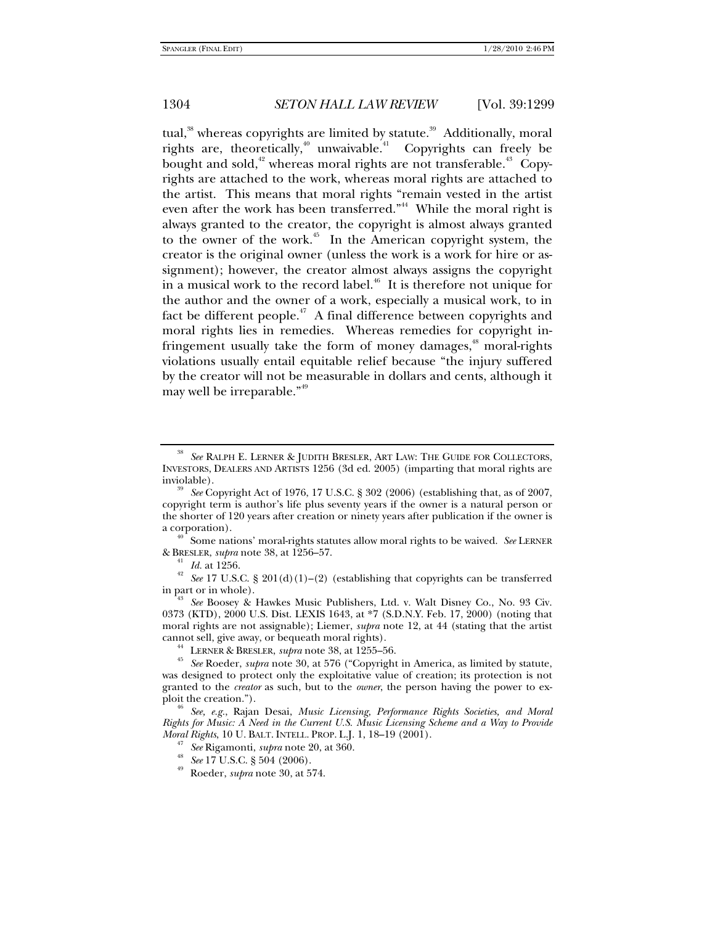tual, $38$  whereas copyrights are limited by statute. $39$  Additionally, moral rights are, theoretically,<sup>40</sup> unwaivable.<sup>41</sup> Copyrights can freely be bought and sold,<sup>42</sup> whereas moral rights are not transferable.<sup>43</sup> Copyrights are attached to the work, whereas moral rights are attached to the artist. This means that moral rights "remain vested in the artist even after the work has been transferred."<sup>44</sup> While the moral right is always granted to the creator, the copyright is almost always granted to the owner of the work.<sup>45</sup> In the American copyright system, the creator is the original owner (unless the work is a work for hire or assignment); however, the creator almost always assigns the copyright in a musical work to the record label.<sup>46</sup> It is therefore not unique for the author and the owner of a work, especially a musical work, to in fact be different people.<sup> $47$ </sup> A final difference between copyrights and moral rights lies in remedies. Whereas remedies for copyright infringement usually take the form of money damages,<sup>48</sup> moral-rights violations usually entail equitable relief because "the injury suffered by the creator will not be measurable in dollars and cents, although it may well be irreparable."<sup>49</sup>

a corporation).<br><sup>40</sup> Some nations' moral-rights statutes allow moral rights to be waived. *See* LERNER<br>& BRESLER, *supra* note 38, at 1256–57.

<sup>41</sup> *Id.* at 1256.<br><sup>42</sup> *See* 17 U.S.C. § 201(d)(1)–(2) (establishing that copyrights can be transferred in part or in whole).

<sup>38</sup> *See* RALPH E. LERNER & JUDITH BRESLER, ART LAW: THE GUIDE FOR COLLECTORS, INVESTORS, DEALERS AND ARTISTS 1256 (3d ed. 2005) (imparting that moral rights are

See Copyright Act of 1976, 17 U.S.C. § 302 (2006) (establishing that, as of 2007, copyright term is author's life plus seventy years if the owner is a natural person or the shorter of 120 years after creation or ninety years after publication if the owner is

See Boosey & Hawkes Music Publishers, Ltd. v. Walt Disney Co., No. 93 Civ. 0373 (KTD), 2000 U.S. Dist. LEXIS 1643, at \*7 (S.D.N.Y. Feb. 17, 2000) (noting that moral rights are not assignable); Liemer, *supra* note 12, at 44 (stating that the artist cannot sell, give away, or bequeath moral rights).

<sup>&</sup>lt;sup>44</sup> LERNER & BRESLER, *supra* note 38, at 1255–56.<br><sup>45</sup> See Roeder, *supra* note 30, at 576 ("Copyright in America, as limited by statute, was designed to protect only the exploitative value of creation; its protection is not granted to the *creator* as such, but to the *owner*, the person having the power to ex-<br>ploit the creation.").

ploit the creation."). 46 *See, e.g.*, Rajan Desai, *Music Licensing, Performance Rights Societies, and Moral Rights for Music: A Need in the Current U.S. Music Licensing Scheme and a Way to Provide* 

*Moral Rightson Baltical Rightson See 17 U.S.C.* § 504 (2006).<br><sup>48</sup> Roeder, *supra* note 30, at 574.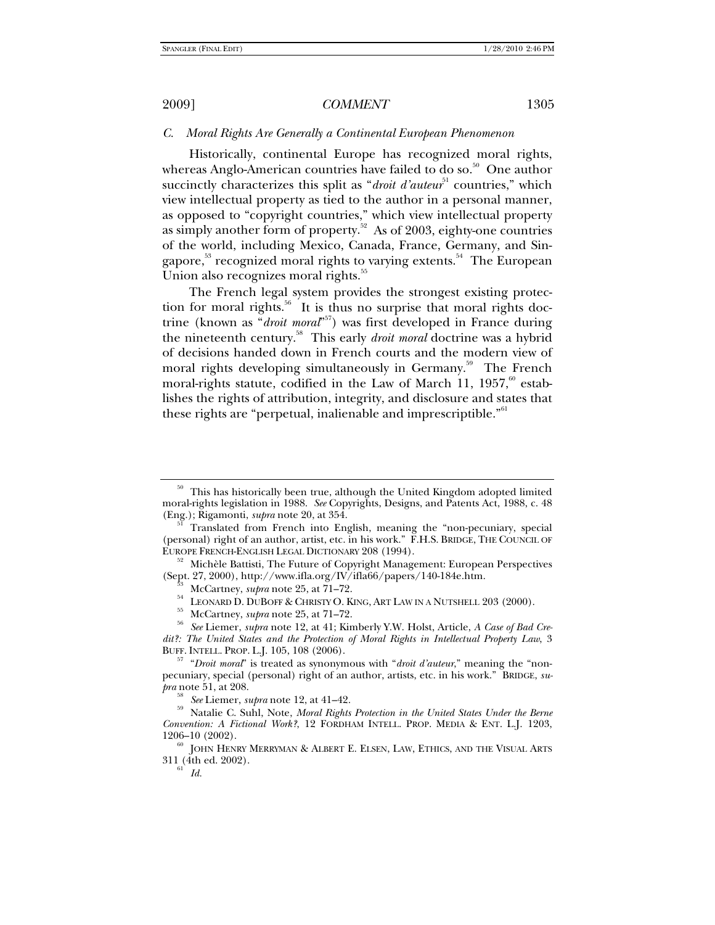# *C. Moral Rights Are Generally a Continental European Phenomenon*

Historically, continental Europe has recognized moral rights, whereas Anglo-American countries have failed to do so.<sup>50</sup> One author succinctly characterizes this split as "*droit d'auteur*<sup>51</sup> countries," which view intellectual property as tied to the author in a personal manner, as opposed to "copyright countries," which view intellectual property as simply another form of property.<sup>52</sup> As of 2003, eighty-one countries of the world, including Mexico, Canada, France, Germany, and Singapore,<sup>53</sup> recognized moral rights to varying extents.<sup>54</sup> The European Union also recognizes moral rights.<sup>55</sup>

The French legal system provides the strongest existing protection for moral rights.<sup>56</sup> It is thus no surprise that moral rights doctrine (known as "*droit moral*" 57) was first developed in France during the nineteenth century.58 This early *droit moral* doctrine was a hybrid of decisions handed down in French courts and the modern view of moral rights developing simultaneously in Germany.<sup>59</sup> The French moral-rights statute, codified in the Law of March 11,  $1957$ ,<sup>60</sup> establishes the rights of attribution, integrity, and disclosure and states that these rights are "perpetual, inalienable and imprescriptible."<sup>61</sup>

This has historically been true, although the United Kingdom adopted limited moral-rights legislation in 1988. *See* Copyrights, Designs, and Patents Act, 1988, c. 48

Translated from French into English, meaning the "non-pecuniary, special (personal) right of an author, artist, etc. in his work." F.H.S. BRIDGE, THE COUNCIL OF EUROPE FRENCH-ENGLISH LEGAL DICTIONARY 208 (1994).

<sup>&</sup>lt;sup>52</sup> Michèle Battisti, The Future of Copyright Management: European Perspectives (Sept. 27, 2000), http://www.ifla.org/IV/ifla66/papers/140-184e.htm.

<sup>&</sup>lt;sup>53</sup> McCartney, *supra* note 25, at 71–72.<br><sup>54</sup> LEONARD D. DUBOFF & CHRISTY O. KING, ART LAW IN A NUTSHELL 203 (2000).<br><sup>55</sup> McCartney, *supra* note 25, at 71–72.<br><sup>56</sup> See Liemer, *supra* note 12, at 41; Kimberly Y.W. Hols

*dit?: The United States and the Protection of Moral Rights in Intellectual Property Law*, 3 BUFF. INTELL. PROP. L.J. 105, 108 (2006). 57 "*Droit moral*" is treated as synonymous with "*droit d'auteur*," meaning the "non-

pecuniary, special (personal) right of an author, artists, etc. in his work." BRIDGE, *supra* note 51, at 208.

<sup>&</sup>lt;sup>58</sup> See Liemer, *supra* note 12, at 41–42.<br><sup>59</sup> Natalie C. Suhl, Note, *Moral Rights Protection in the United States Under the Berne Convention: A Fictional Work?*, 12 FORDHAM INTELL. PROP. MEDIA & ENT. L.J. 1203, 1206–10 (2002).<br><sup>60</sup> JOHN HENRY MERRYMAN & ALBERT E. ELSEN, LAW, ETHICS, AND THE VISUAL ARTS

<sup>311 (4</sup>th ed. 2002). 61 *Id.*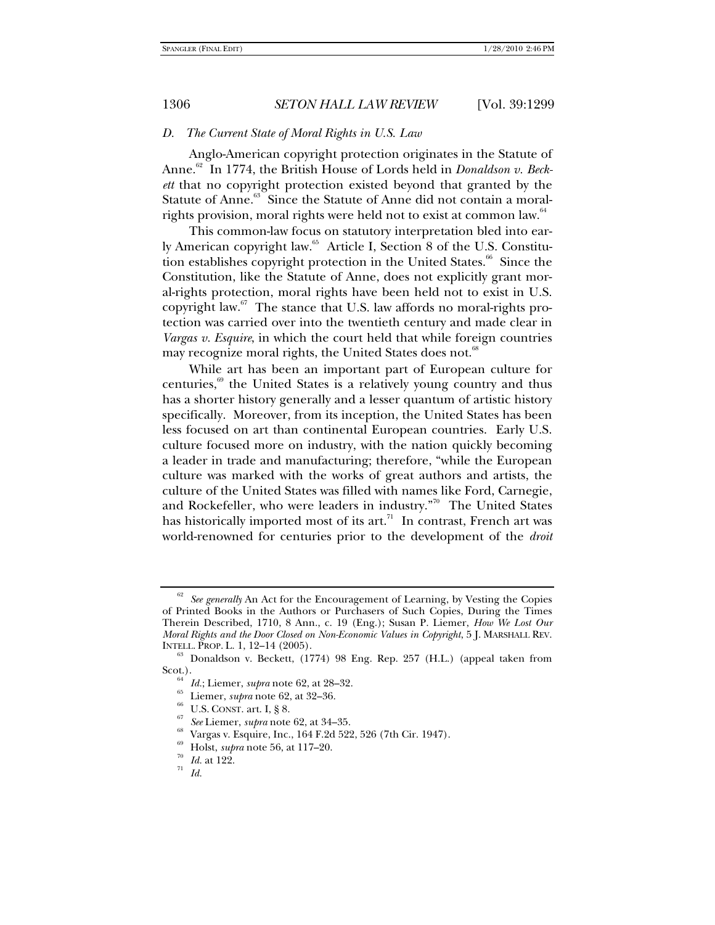### *D. The Current State of Moral Rights in U.S. Law*

Anglo-American copyright protection originates in the Statute of Anne.<sup>62</sup> In 1774, the British House of Lords held in *Donaldson v. Beckett* that no copyright protection existed beyond that granted by the Statute of Anne.<sup>63</sup> Since the Statute of Anne did not contain a moralrights provision, moral rights were held not to exist at common law.<sup>64</sup>

This common-law focus on statutory interpretation bled into early American copyright law.<sup>65</sup> Article I, Section 8 of the U.S. Constitution establishes copyright protection in the United States.<sup>66</sup> Since the Constitution, like the Statute of Anne, does not explicitly grant moral-rights protection, moral rights have been held not to exist in U.S. copyright law. $67$  The stance that U.S. law affords no moral-rights protection was carried over into the twentieth century and made clear in *Vargas v. Esquire*, in which the court held that while foreign countries may recognize moral rights, the United States does not.<sup>68</sup>

While art has been an important part of European culture for centuries, $69$  the United States is a relatively young country and thus has a shorter history generally and a lesser quantum of artistic history specifically. Moreover, from its inception, the United States has been less focused on art than continental European countries. Early U.S. culture focused more on industry, with the nation quickly becoming a leader in trade and manufacturing; therefore, "while the European culture was marked with the works of great authors and artists, the culture of the United States was filled with names like Ford, Carnegie, and Rockefeller, who were leaders in industry."<sup>70</sup> The United States has historically imported most of its art.<sup>71</sup> In contrast, French art was world-renowned for centuries prior to the development of the *droit* 

<sup>62</sup> *See generally* An Act for the Encouragement of Learning, by Vesting the Copies of Printed Books in the Authors or Purchasers of Such Copies, During the Times Therein Described, 1710, 8 Ann., c. 19 (Eng.); Susan P. Liemer, *How We Lost Our Moral Rights and the Door Closed on Non-Economic Values in Copyright*, 5 J. MARSHALL REV.

INTELL. PROP. L. 1, 12–14 (2005). 63 Donaldson v. Beckett, (1774) 98 Eng. Rep. 257 (H.L.) (appeal taken from Scot.).<br>
<sup>64</sup> *Id.*; Liemer, *supra* note 62, at 28–32.<br>
<sup>65</sup> Liemer, *supra* note 62, at 32–36.<br>
<sup>66</sup> U.S. CONST. art. I, § 8.<br>
<sup>67</sup> *See* Liemer, *supra* note 62, at 34–35.<br>
<sup>68</sup> Vargas v. Esquire, Inc., 164 F.2d 522, 52

<sup>69</sup> Holst, *supra* note 56, at 117–20. 70 *Id.* at 122. 71 *Id.*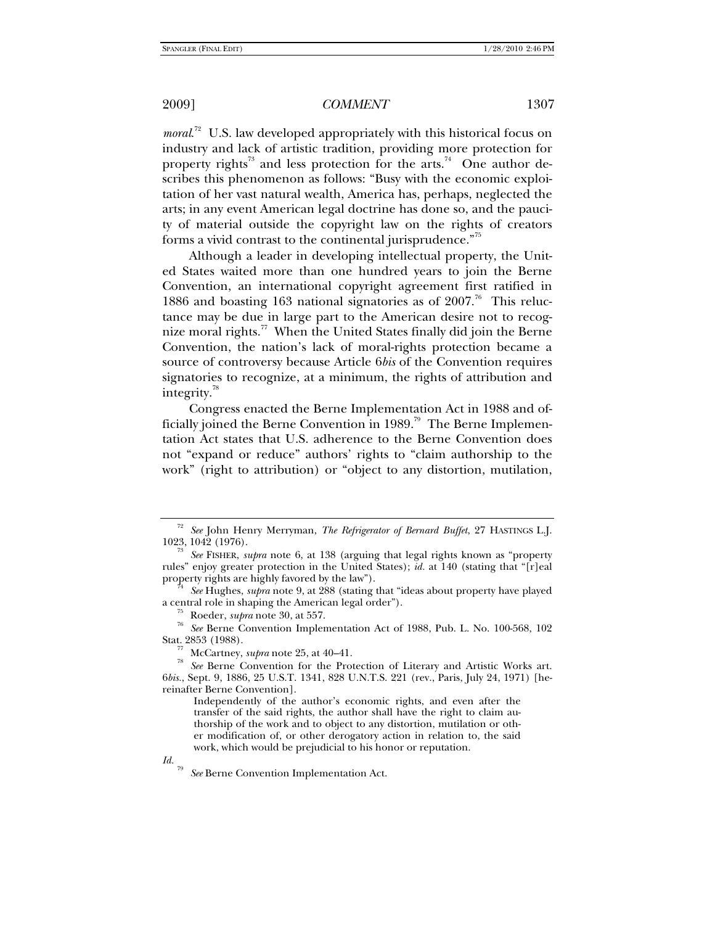moral.<sup>72</sup> U.S. law developed appropriately with this historical focus on industry and lack of artistic tradition, providing more protection for property rights<sup>73</sup> and less protection for the arts.<sup>74</sup> One author describes this phenomenon as follows: "Busy with the economic exploitation of her vast natural wealth, America has, perhaps, neglected the arts; in any event American legal doctrine has done so, and the paucity of material outside the copyright law on the rights of creators forms a vivid contrast to the continental jurisprudence."<sup>75</sup>

Although a leader in developing intellectual property, the United States waited more than one hundred years to join the Berne Convention, an international copyright agreement first ratified in 1886 and boasting 163 national signatories as of  $2007$ .<sup>76</sup> This reluctance may be due in large part to the American desire not to recognize moral rights.<sup>77</sup> When the United States finally did join the Berne Convention, the nation's lack of moral-rights protection became a source of controversy because Article 6*bis* of the Convention requires signatories to recognize, at a minimum, the rights of attribution and integrity. $\mathrm{^{78}}$ 

Congress enacted the Berne Implementation Act in 1988 and officially joined the Berne Convention in 1989.<sup>79</sup> The Berne Implementation Act states that U.S. adherence to the Berne Convention does not "expand or reduce" authors' rights to "claim authorship to the work" (right to attribution) or "object to any distortion, mutilation,

<sup>72</sup> *See* John Henry Merryman, *The Refrigerator of Bernard Buffet*, 27 HASTINGS L.J. 1023, 1042 (1976). 73 *See* FISHER, *supra* note 6, at 138 (arguing that legal rights known as "property

rules" enjoy greater protection in the United States); *id.* at 140 (stating that "[r]eal

property rights are highly favored by the law").<br><sup>74</sup> See Hughes, *supra* note 9, at 288 (stating that "ideas about property have played<br>a central role in shaping the American legal order").

<sup>&</sup>lt;sup>75</sup> Roeder, *supra* note 30, at 557. *The See Berne Convention Implementation Act of 1988*, Pub. L. No. 100-568, 102

Stat. 2853 (1988).<br><sup>77</sup> McCartney, *supra* note 25, at 40–41.<br><sup>78</sup> See Berne Convention for the Protection of Literary and Artistic Works art. 6*bis.*, Sept. 9, 1886, 25 U.S.T. 1341, 828 U.N.T.S. 221 (rev., Paris, July 24, 1971) [hereinafter Berne Convention].

Independently of the author's economic rights, and even after the transfer of the said rights, the author shall have the right to claim authorship of the work and to object to any distortion, mutilation or other modification of, or other derogatory action in relation to, the said work, which would be prejudicial to his honor or reputation.

*Id.* <sup>79</sup> *See* Berne Convention Implementation Act.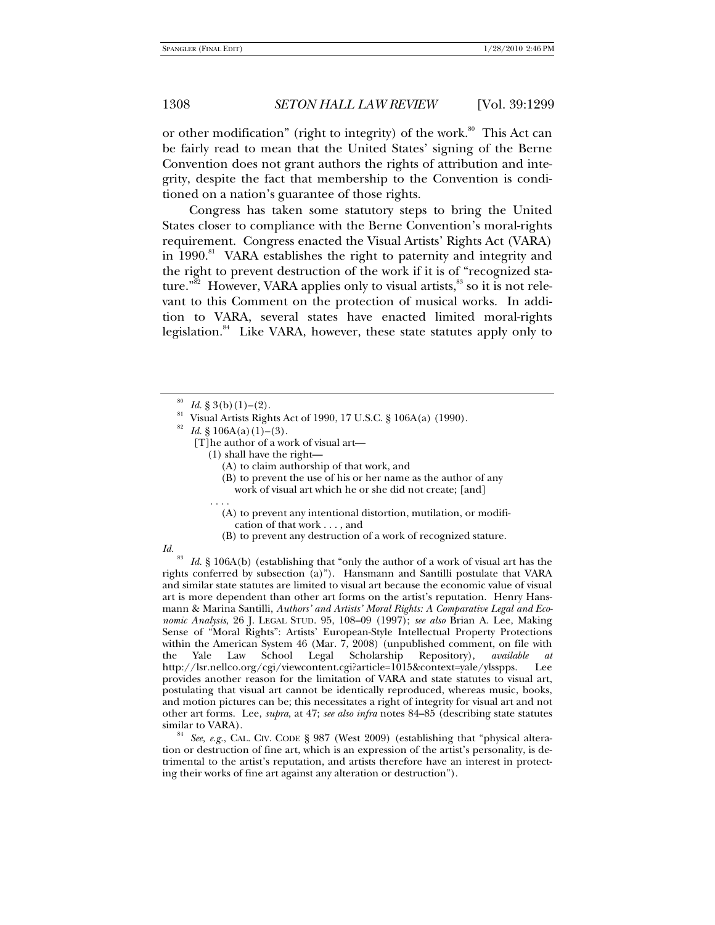or other modification" (right to integrity) of the work.<sup>80</sup> This Act can be fairly read to mean that the United States' signing of the Berne Convention does not grant authors the rights of attribution and integrity, despite the fact that membership to the Convention is conditioned on a nation's guarantee of those rights.

Congress has taken some statutory steps to bring the United States closer to compliance with the Berne Convention's moral-rights requirement. Congress enacted the Visual Artists' Rights Act (VARA) in 1990.<sup>81</sup> VARA establishes the right to paternity and integrity and the right to prevent destruction of the work if it is of "recognized stature."<sup>82</sup> However, VARA applies only to visual artists, $83$  so it is not relevant to this Comment on the protection of musical works. In addition to VARA, several states have enacted limited moral-rights legislation.<sup>84</sup> Like VARA, however, these state statutes apply only to

- [T]he author of a work of visual art—
	- (1) shall have the right—
		- (A) to claim authorship of that work, and
		- (B) to prevent the use of his or her name as the author of any

work of visual art which he or she did not create; [and]

- . . . . (A) to prevent any intentional distortion, mutilation, or modifi cation of that work . . . , and
	- (B) to prevent any destruction of a work of recognized stature.

*Id.* <sup>83</sup> *Id.* § 106A(b) (establishing that "only the author of a work of visual art has the rights conferred by subsection (a)"). Hansmann and Santilli postulate that VARA and similar state statutes are limited to visual art because the economic value of visual art is more dependent than other art forms on the artist's reputation. Henry Hansmann & Marina Santilli, *Authors' and Artists' Moral Rights: A Comparative Legal and Economic Analysis*, 26 J. LEGAL STUD. 95, 108–09 (1997); *see also* Brian A. Lee, Making Sense of "Moral Rights": Artists' European-Style Intellectual Property Protections within the American System 46 (Mar. 7, 2008) (unpublished comment, on file with the Yale Law School Legal Scholarship Repository), *available at* http://lsr.nellco.org/cgi/viewcontent.cgi?article=1015&context=yale/ylsspps. provides another reason for the limitation of VARA and state statutes to visual art, postulating that visual art cannot be identically reproduced, whereas music, books, and motion pictures can be; this necessitates a right of integrity for visual art and not other art forms. Lee, *supra*, at 47; *see also infra* notes 84–85 (describing state statutes

See, e.g., CAL. CIV. CODE § 987 (West 2009) (establishing that "physical alteration or destruction of fine art, which is an expression of the artist's personality, is detrimental to the artist's reputation, and artists therefore have an interest in protecting their works of fine art against any alteration or destruction").

<sup>&</sup>lt;sup>80</sup> *Id.* § 3(b)(1)–(2).<br><sup>81</sup> Visual Artists Rights Act of 1990, 17 U.S.C. § 106A(a) (1990).

<sup>&</sup>lt;sup>82</sup> Id. § 106A(a)(1)–(3).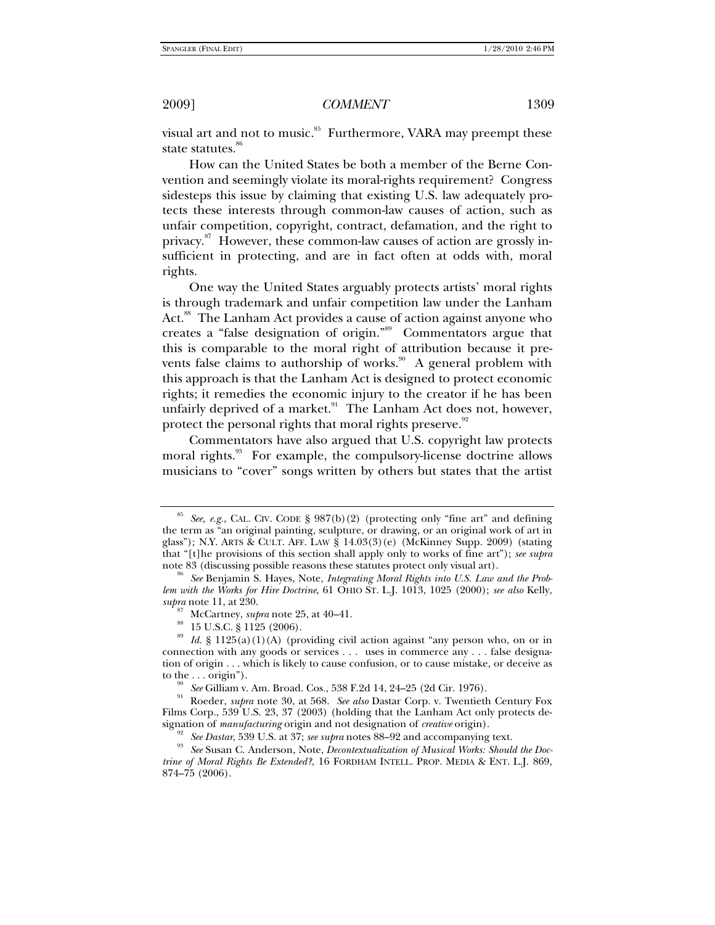visual art and not to music.<sup>85</sup> Furthermore, VARA may preempt these state statutes.<sup>86</sup>

How can the United States be both a member of the Berne Convention and seemingly violate its moral-rights requirement? Congress sidesteps this issue by claiming that existing U.S. law adequately protects these interests through common-law causes of action, such as unfair competition, copyright, contract, defamation, and the right to privacy.<sup>87</sup> However, these common-law causes of action are grossly insufficient in protecting, and are in fact often at odds with, moral rights.

One way the United States arguably protects artists' moral rights is through trademark and unfair competition law under the Lanham Act.<sup>88</sup> The Lanham Act provides a cause of action against anyone who creates a "false designation of origin."89 Commentators argue that this is comparable to the moral right of attribution because it prevents false claims to authorship of works.<sup>90</sup> A general problem with this approach is that the Lanham Act is designed to protect economic rights; it remedies the economic injury to the creator if he has been unfairly deprived of a market. $91$  The Lanham Act does not, however, protect the personal rights that moral rights preserve.<sup>92</sup>

Commentators have also argued that U.S. copyright law protects moral rights.<sup>93</sup> For example, the compulsory-license doctrine allows musicians to "cover" songs written by others but states that the artist

See, e.g., CAL. CIV. CODE § 987(b)(2) (protecting only "fine art" and defining the term as "an original painting, sculpture, or drawing, or an original work of art in glass"); N.Y. ARTS & CULT. AFF. LAW § 14.03(3)(e) (McKinney Supp. 2009) (stating that "[t]he provisions of this section shall apply only to works of fine art"); *see supra*

<sup>&</sup>lt;sup>86</sup> See Benjamin S. Hayes, Note, *Integrating Moral Rights into U.S. Law and the Problem with the Works for Hire Doctrine*, 61 OHIO ST. L.J. 1013, 1025 (2000); *see also* Kelly, *supra* note 11, at 230.

*supra* note 25, at 40–41.<br><sup>88</sup> 15 U.S.C. § 1125 (2006).

<sup>89</sup> *Id.* § 1125(a)(1)(A) (providing civil action against "any person who, on or in connection with any goods or services . . . uses in commerce any . . . false designation of origin . . . which is likely to cause confusion, or to cause mistake, or deceive as

to the . . . origin"). 90 *See* Gilliam v. Am. Broad. Cos., 538 F.2d 14, 24–25 (2d Cir. 1976). 91 Roeder, *supra* note 30, at 568. *See also* Dastar Corp. v. Twentieth Century Fox Films Corp., 539 U.S. 23, 37 (2003) (holding that the Lanham Act only protects designation of *manufacturing* origin and not designation of *creative* origin).<br><sup>92</sup> See Dastar, 539 U.S. at 37; see supra notes 88–92 and accompanying text.<br><sup>93</sup> See Susan C. Anderson, Note, *Decontextualization of Musica* 

*trine of Moral Rights Be Extended?*, 16 FORDHAM INTELL. PROP. MEDIA & ENT. L.J. 869, 874–75 (2006).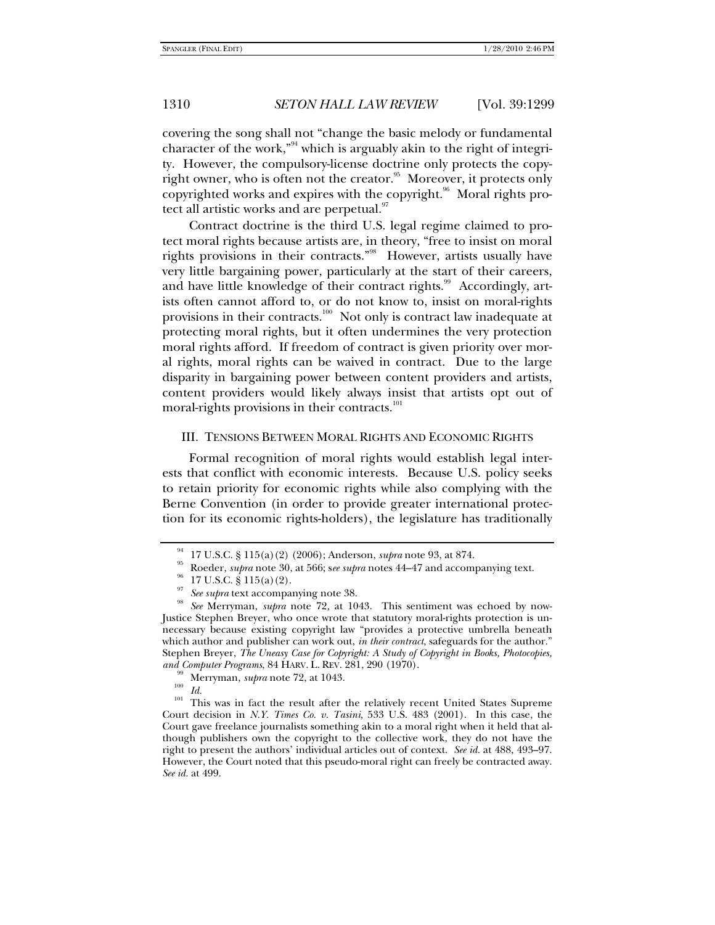covering the song shall not "change the basic melody or fundamental character of the work,"<sup>94</sup> which is arguably akin to the right of integrity. However, the compulsory-license doctrine only protects the copyright owner, who is often not the creator.<sup>95</sup> Moreover, it protects only copyrighted works and expires with the copyright.<sup>96</sup> Moral rights protect all artistic works and are perpetual.<sup>97</sup>

Contract doctrine is the third U.S. legal regime claimed to protect moral rights because artists are, in theory, "free to insist on moral rights provisions in their contracts."98 However, artists usually have very little bargaining power, particularly at the start of their careers, and have little knowledge of their contract rights.<sup>99</sup> Accordingly, artists often cannot afford to, or do not know to, insist on moral-rights provisions in their contracts.<sup>100</sup> Not only is contract law inadequate at protecting moral rights, but it often undermines the very protection moral rights afford. If freedom of contract is given priority over moral rights, moral rights can be waived in contract. Due to the large disparity in bargaining power between content providers and artists, content providers would likely always insist that artists opt out of moral-rights provisions in their contracts.<sup>101</sup>

#### III. TENSIONS BETWEEN MORAL RIGHTS AND ECONOMIC RIGHTS

Formal recognition of moral rights would establish legal interests that conflict with economic interests. Because U.S. policy seeks to retain priority for economic rights while also complying with the Berne Convention (in order to provide greater international protection for its economic rights-holders), the legislature has traditionally

<sup>&</sup>lt;sup>94</sup> 17 U.S.C. § 115(a)(2) (2006); Anderson, *supra* note 93, at 874.<br><sup>95</sup> Roeder, *supra* note 30, at 566; s*ee supra* notes 44–47 and accompanying text. 17 U.S.C. § 115(a)(2).

See supra text accompanying note 38.<br>See Merryman, *supra* note 72, at 1043. This sentiment was echoed by now-Justice Stephen Breyer, who once wrote that statutory moral-rights protection is unnecessary because existing copyright law "provides a protective umbrella beneath which author and publisher can work out, *in their contract*, safeguards for the author." Stephen Breyer, *The Uneasy Case for Copyright: A Study of Copyright in Books, Photocopies, and Computer Programs*, 84 HARV. L. REV. 281, 290 (1970).<br><sup>99</sup> Merryman, *supra* note 72, at 1043.<br><sup>100</sup> *Id.* This was in fact the result after the relatively recent United States Supreme

Court decision in *N.Y. Times Co. v. Tasini*, 533 U.S. 483 (2001). In this case, the Court gave freelance journalists something akin to a moral right when it held that although publishers own the copyright to the collective work, they do not have the right to present the authors' individual articles out of context. *See id.* at 488, 493–97. However, the Court noted that this pseudo-moral right can freely be contracted away. *See id.* at 499.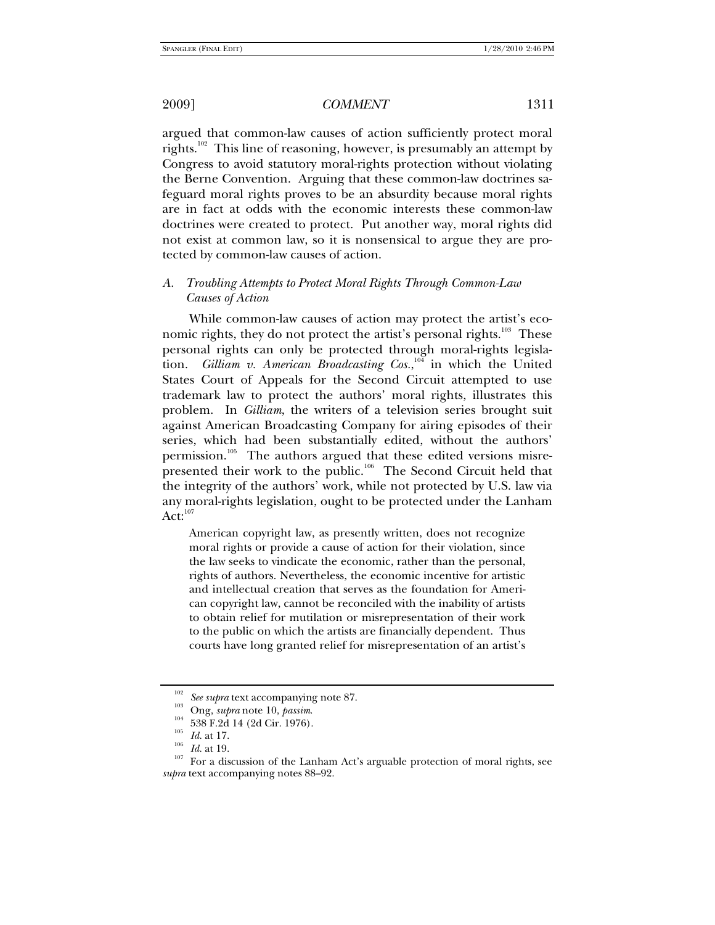argued that common-law causes of action sufficiently protect moral rights.<sup>102</sup> This line of reasoning, however, is presumably an attempt by Congress to avoid statutory moral-rights protection without violating the Berne Convention. Arguing that these common-law doctrines safeguard moral rights proves to be an absurdity because moral rights are in fact at odds with the economic interests these common-law doctrines were created to protect. Put another way, moral rights did not exist at common law, so it is nonsensical to argue they are protected by common-law causes of action.

# *A. Troubling Attempts to Protect Moral Rights Through Common-Law Causes of Action*

While common-law causes of action may protect the artist's economic rights, they do not protect the artist's personal rights.<sup>103</sup> These personal rights can only be protected through moral-rights legislation. *Gilliam v. American Broadcasting Cos.*,<sup>104</sup> in which the United States Court of Appeals for the Second Circuit attempted to use trademark law to protect the authors' moral rights, illustrates this problem. In *Gilliam*, the writers of a television series brought suit against American Broadcasting Company for airing episodes of their series, which had been substantially edited, without the authors' permission.<sup>105</sup> The authors argued that these edited versions misrepresented their work to the public.<sup>106</sup> The Second Circuit held that the integrity of the authors' work, while not protected by U.S. law via any moral-rights legislation, ought to be protected under the Lanham  $Act:^{107}$ 

American copyright law, as presently written, does not recognize moral rights or provide a cause of action for their violation, since the law seeks to vindicate the economic, rather than the personal, rights of authors. Nevertheless, the economic incentive for artistic and intellectual creation that serves as the foundation for American copyright law, cannot be reconciled with the inability of artists to obtain relief for mutilation or misrepresentation of their work to the public on which the artists are financially dependent. Thus courts have long granted relief for misrepresentation of an artist's

<sup>&</sup>lt;sup>102</sup> See supra text accompanying note 87.<br>
<sup>103</sup> Ong, *supra* note 10, *passim.*<br>
<sup>104</sup> 538 F.2d 14 (2d Cir. 1976).<br>
<sup>105</sup> *Id.* at 17.<br>
<sup>105</sup> *Id.* at 19.<br>
<sup>107</sup> For a discussion of the Lanham Act's arguable protection *supra* text accompanying notes 88–92.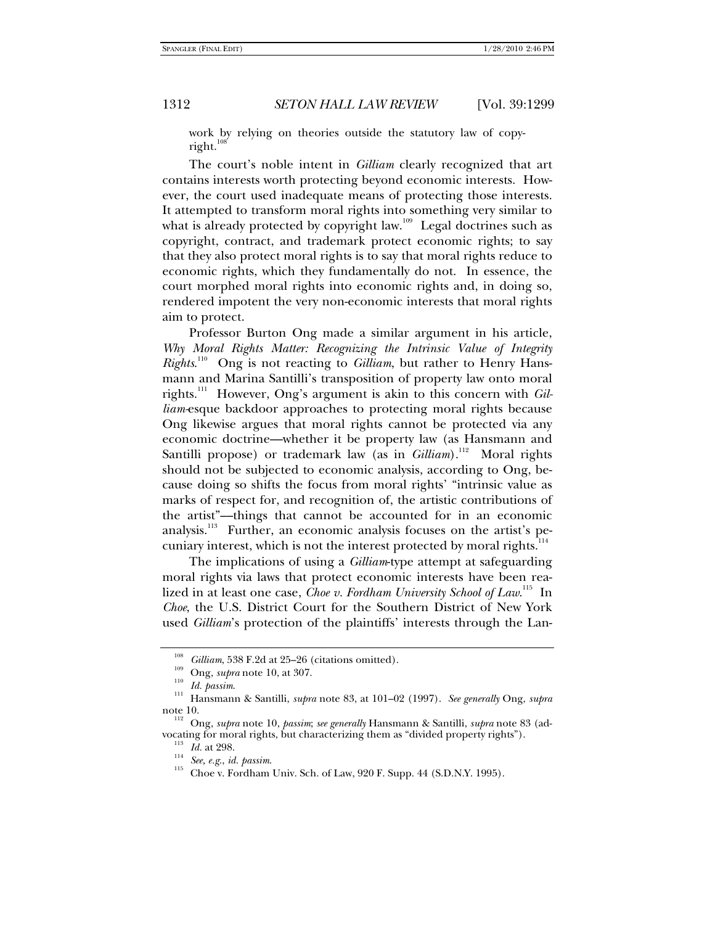work by relying on theories outside the statutory law of copyright.

The court's noble intent in *Gilliam* clearly recognized that art contains interests worth protecting beyond economic interests. However, the court used inadequate means of protecting those interests. It attempted to transform moral rights into something very similar to what is already protected by copyright law.<sup>109</sup> Legal doctrines such as copyright, contract, and trademark protect economic rights; to say that they also protect moral rights is to say that moral rights reduce to economic rights, which they fundamentally do not. In essence, the court morphed moral rights into economic rights and, in doing so, rendered impotent the very non-economic interests that moral rights aim to protect.

Professor Burton Ong made a similar argument in his article, *Why Moral Rights Matter: Recognizing the Intrinsic Value of Integrity Rights.*<sup>110</sup> Ong is not reacting to *Gilliam*, but rather to Henry Hansmann and Marina Santilli's transposition of property law onto moral rights.111 However, Ong's argument is akin to this concern with *Gilliam-*esque backdoor approaches to protecting moral rights because Ong likewise argues that moral rights cannot be protected via any economic doctrine—whether it be property law (as Hansmann and Santilli propose) or trademark law (as in *Gilliam*).<sup>112</sup> Moral rights should not be subjected to economic analysis, according to Ong, because doing so shifts the focus from moral rights' "intrinsic value as marks of respect for, and recognition of, the artistic contributions of the artist"––things that cannot be accounted for in an economic analysis.<sup>113</sup> Further, an economic analysis focuses on the artist's pecuniary interest, which is not the interest protected by moral rights.<sup>114</sup>

The implications of using a *Gilliam*-type attempt at safeguarding moral rights via laws that protect economic interests have been realized in at least one case, *Choe v. Fordham University School of Law*.<sup>115</sup> In *Choe*, the U.S. District Court for the Southern District of New York used *Gilliam*'s protection of the plaintiffs' interests through the Lan-

<sup>&</sup>lt;sup>108</sup> *Gilliam*, 538 F.2d at 25–26 (citations omitted).<br>
<sup>109</sup> Ong, *supra* note 10, at 307.<br>
<sup>110</sup> Id. *passim.*<br>
Hansmann & Santilli, *supra* note 83, at 101–02 (1997). *See generally* Ong, *supra* 

note 10.<br><sup>112</sup> Ong, *supra* note 10, *passim*; *see generally* Hansmann & Santilli, *supra* note 83 (ad-<br>vocating for moral rights, but characterizing them as "divided property rights").

<sup>&</sup>lt;sup>113</sup> *Id.* at 298.<br><sup>114</sup> *See, e.g., id. passim.* 115 Choe v. Fordham Univ. Sch. of Law, 920 F. Supp. 44 (S.D.N.Y. 1995).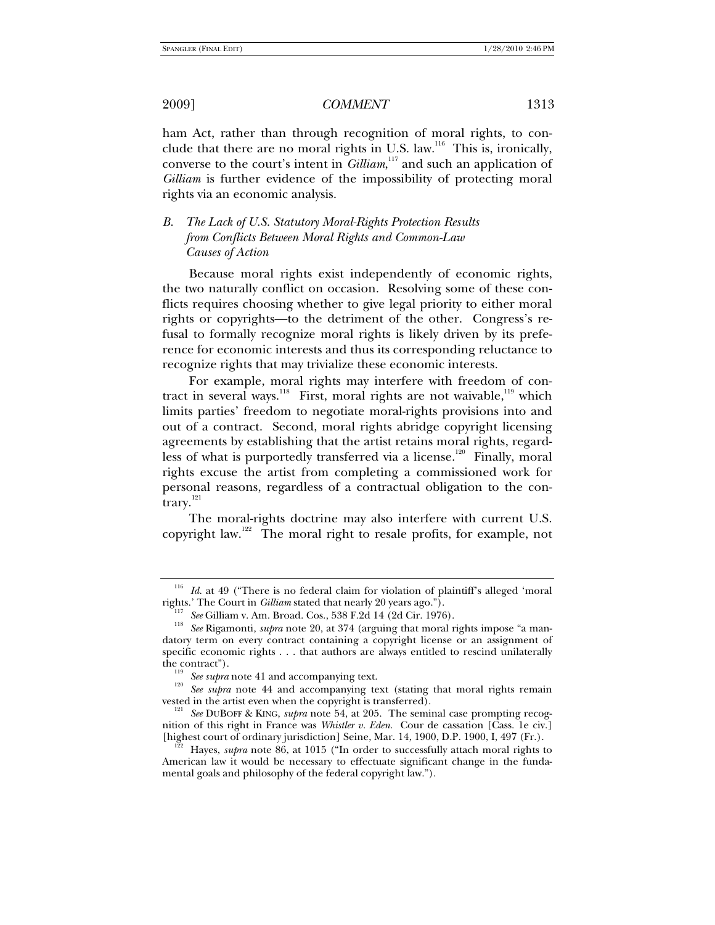ham Act, rather than through recognition of moral rights, to conclude that there are no moral rights in U.S. law.<sup>116</sup> This is, ironically, converse to the court's intent in *Gilliam*,<sup>117</sup> and such an application of *Gilliam* is further evidence of the impossibility of protecting moral rights via an economic analysis.

# *B. The Lack of U.S. Statutory Moral-Rights Protection Results from Conflicts Between Moral Rights and Common-Law Causes of Action*

Because moral rights exist independently of economic rights, the two naturally conflict on occasion. Resolving some of these conflicts requires choosing whether to give legal priority to either moral rights or copyrights—to the detriment of the other. Congress's refusal to formally recognize moral rights is likely driven by its preference for economic interests and thus its corresponding reluctance to recognize rights that may trivialize these economic interests.

For example, moral rights may interfere with freedom of contract in several ways.<sup>118</sup> First, moral rights are not waivable,<sup>119</sup> which limits parties' freedom to negotiate moral-rights provisions into and out of a contract. Second, moral rights abridge copyright licensing agreements by establishing that the artist retains moral rights, regardless of what is purportedly transferred via a license.<sup>120</sup> Finally, moral rights excuse the artist from completing a commissioned work for personal reasons, regardless of a contractual obligation to the contrary.<sup>121</sup>

The moral-rights doctrine may also interfere with current U.S. copyright law.<sup>122</sup> The moral right to resale profits, for example, not

<sup>&</sup>lt;sup>116</sup> *Id.* at 49 ("There is no federal claim for violation of plaintiff's alleged 'moral rights.' The Court in *Gilliam* stated that nearly 20 years ago.").

<sup>&</sup>lt;sup>117</sup> See Gilliam v. Am. Broad. Cos., 538 F.2d 14 (2d Cir. 1976).<br><sup>118</sup> See Rigamonti, *supra* note 20, at 374 (arguing that moral rights impose "a mandatory term on every contract containing a copyright license or an assignment of specific economic rights . . . that authors are always entitled to rescind unilaterally

the contract").<br><sup>119</sup> *See supra* note 41 and accompanying text.<br><sup>120</sup> *See supra* note 44 and accompanying text (stating that moral rights remain vested in the artist even when the copyright is transferred). 121 *See* DUBOFF & KING, *supra* note 54, at 205. The seminal case prompting recog-

nition of this right in France was *Whistler v. Eden*. Cour de cassation [Cass. 1e civ.] [highest court of ordinary jurisdiction] Seine, Mar. 14, 1900, D.P. 1900, I, 497 (Fr.).

Hayes, *supra* note 86, at 1015 ("In order to successfully attach moral rights to American law it would be necessary to effectuate significant change in the fundamental goals and philosophy of the federal copyright law.").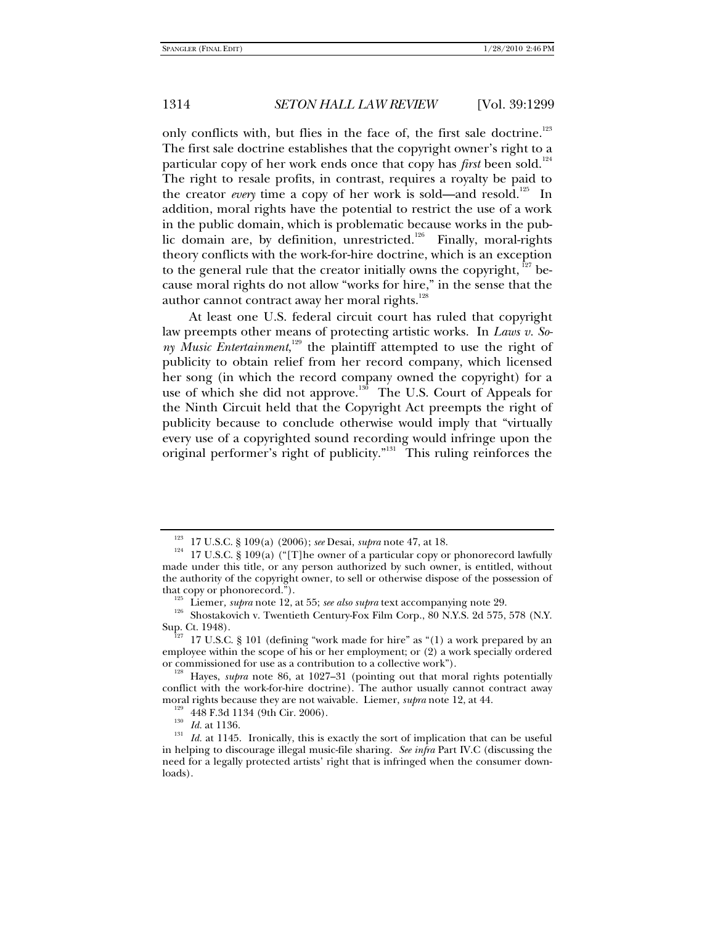only conflicts with, but flies in the face of, the first sale doctrine.<sup>123</sup> The first sale doctrine establishes that the copyright owner's right to a particular copy of her work ends once that copy has *first* been sold.<sup>124</sup> The right to resale profits, in contrast, requires a royalty be paid to the creator *every* time a copy of her work is sold—and resold.<sup>125</sup> In addition, moral rights have the potential to restrict the use of a work in the public domain, which is problematic because works in the public domain are, by definition, unrestricted.<sup>126</sup> Finally, moral-rights theory conflicts with the work-for-hire doctrine, which is an exception to the general rule that the creator initially owns the copyright,  $127$  because moral rights do not allow "works for hire," in the sense that the author cannot contract away her moral rights.<sup>128</sup>

At least one U.S. federal circuit court has ruled that copyright law preempts other means of protecting artistic works. In *Laws v. Sony Music Entertainment*, 129 the plaintiff attempted to use the right of publicity to obtain relief from her record company, which licensed her song (in which the record company owned the copyright) for a use of which she did not approve.<sup>130</sup> The U.S. Court of Appeals for the Ninth Circuit held that the Copyright Act preempts the right of publicity because to conclude otherwise would imply that "virtually every use of a copyrighted sound recording would infringe upon the original performer's right of publicity."<sup>131</sup> This ruling reinforces the

<sup>&</sup>lt;sup>123</sup> 17 U.S.C. § 109(a) (2006); *see* Desai, *supra* note 47, at 18.<br><sup>124</sup> 17 U.S.C. § 109(a) ("[T]he owner of a particular copy or phonorecord lawfully made under this title, or any person authorized by such owner, is entitled, without the authority of the copyright owner, to sell or otherwise dispose of the possession of that copy or phonorecord.").

<sup>&</sup>lt;sup>125</sup> Liemer, *supra* note 12, at 55; *see also supra* text accompanying note 29.<br><sup>126</sup> Shostakovich v. Twentieth Century-Fox Film Corp., 80 N.Y.S. 2d 575, 578 (N.Y.<br>Sup. Ct. 1948).

<sup>17</sup> U.S.C. § 101 (defining "work made for hire" as "(1) a work prepared by an employee within the scope of his or her employment; or (2) a work specially ordered or commissioned for use as a contribution to a collective work").

Hayes, *supra* note 86, at 1027–31 (pointing out that moral rights potentially conflict with the work-for-hire doctrine). The author usually cannot contract away

moral rights because they are not waivable. Liemer, *supra* note 12, at 44.<br><sup>129</sup> 448 F.3d 1134 (9th Cir. 2006).<br><sup>130</sup> *Id.* at 1136.<br><sup>131</sup> *Id.* at 1145. Ironically, this is exactly the sort of implication that can be us in helping to discourage illegal music-file sharing. *See infra* Part IV.C (discussing the need for a legally protected artists' right that is infringed when the consumer downloads).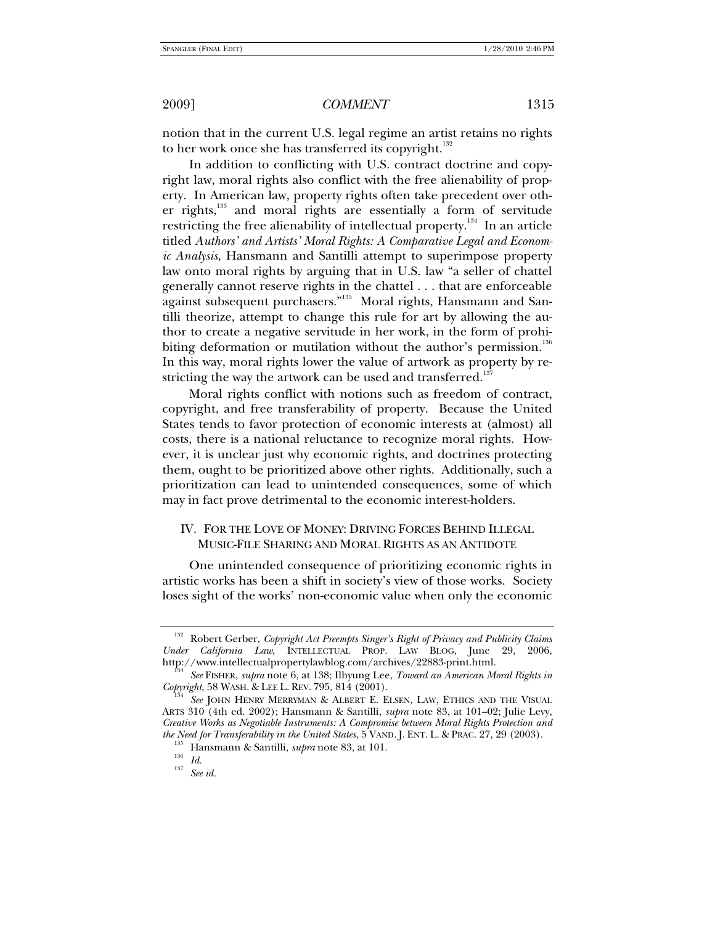notion that in the current U.S. legal regime an artist retains no rights to her work once she has transferred its copyright. $132$ 

In addition to conflicting with U.S. contract doctrine and copyright law, moral rights also conflict with the free alienability of property. In American law, property rights often take precedent over other rights,<sup>133</sup> and moral rights are essentially a form of servitude restricting the free alienability of intellectual property.<sup>134</sup> In an article titled *Authors' and Artists' Moral Rights: A Comparative Legal and Economic Analysis*, Hansmann and Santilli attempt to superimpose property law onto moral rights by arguing that in U.S. law "a seller of chattel generally cannot reserve rights in the chattel . . . that are enforceable against subsequent purchasers."135 Moral rights, Hansmann and Santilli theorize, attempt to change this rule for art by allowing the author to create a negative servitude in her work, in the form of prohibiting deformation or mutilation without the author's permission.<sup>136</sup> In this way, moral rights lower the value of artwork as property by restricting the way the artwork can be used and transferred.<sup>137</sup>

Moral rights conflict with notions such as freedom of contract, copyright, and free transferability of property. Because the United States tends to favor protection of economic interests at (almost) all costs, there is a national reluctance to recognize moral rights. However, it is unclear just why economic rights, and doctrines protecting them, ought to be prioritized above other rights. Additionally, such a prioritization can lead to unintended consequences, some of which may in fact prove detrimental to the economic interest-holders.

# IV. FOR THE LOVE OF MONEY: DRIVING FORCES BEHIND ILLEGAL MUSIC-FILE SHARING AND MORAL RIGHTS AS AN ANTIDOTE

One unintended consequence of prioritizing economic rights in artistic works has been a shift in society's view of those works. Society loses sight of the works' non-economic value when only the economic

<sup>132</sup> Robert Gerber, *Copyright Act Preempts Singer's Right of Privacy and Publicity Claims Under California Law*, INTELLECTUAL PROP. LAW BLOG, June 29, 2006,

<sup>&</sup>lt;sup>133</sup> See FISHER, *supra* note 6, at 138; Ilhyung Lee, *Toward an American Moral Rights in Copyright*, 58 WASH. & LEE L. REV. 795, 814 (2001).

*See* JOHN HENRY MERRYMAN & ALBERT E. ELSEN, LAW, ETHICS AND THE VISUAL ARTS 310 (4th ed. 2002); Hansmann & Santilli, *supra* note 83, at 101–02; Julie Levy, *Creative Works as Negotiable Instruments: A Compromise between Moral Rights Protection and the Need for Transferability in the United States*, 5 VAND. J. ENT. L. & PRAC. 27, 29 (2003).<br><sup>135</sup> Hansmann & Santilli, *supra* note 83, at 101.<br><sup>136</sup> *Id.* <sup>137</sup> See id.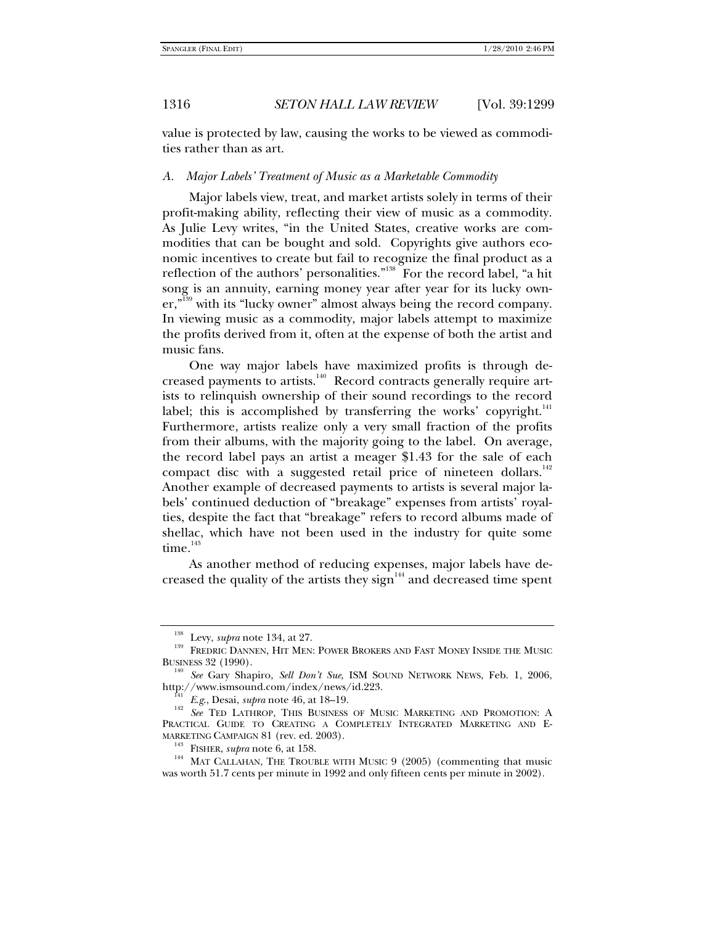value is protected by law, causing the works to be viewed as commodities rather than as art.

#### *A. Major Labels' Treatment of Music as a Marketable Commodity*

Major labels view, treat, and market artists solely in terms of their profit-making ability, reflecting their view of music as a commodity. As Julie Levy writes, "in the United States, creative works are commodities that can be bought and sold. Copyrights give authors economic incentives to create but fail to recognize the final product as a reflection of the authors' personalities."<sup>138</sup> For the record label, "a hit song is an annuity, earning money year after year for its lucky owner,<sup>"139</sup> with its "lucky owner" almost always being the record company. In viewing music as a commodity, major labels attempt to maximize the profits derived from it, often at the expense of both the artist and music fans.

One way major labels have maximized profits is through decreased payments to artists.<sup>140</sup> Record contracts generally require artists to relinquish ownership of their sound recordings to the record label; this is accomplished by transferring the works' copyright. $141$ Furthermore, artists realize only a very small fraction of the profits from their albums, with the majority going to the label. On average, the record label pays an artist a meager \$1.43 for the sale of each compact disc with a suggested retail price of nineteen dollars.<sup>142</sup> Another example of decreased payments to artists is several major labels' continued deduction of "breakage" expenses from artists' royalties, despite the fact that "breakage" refers to record albums made of shellac, which have not been used in the industry for quite some  $time.<sup>143</sup>$ 

As another method of reducing expenses, major labels have decreased the quality of the artists they sign $144$  and decreased time spent

<sup>&</sup>lt;sup>138</sup> Levy, *supra* note 134, at 27.<br><sup>139</sup> FREDRIC DANNEN, HIT MEN: POWER BROKERS AND FAST MONEY INSIDE THE MUSIC BUSINESS 32 (1990).

<sup>&</sup>lt;sup>140</sup> See Gary Shapiro, *Sell Don't Sue*, ISM SOUND NETWORK NEWS, Feb. 1, 2006, http://www.ismsound.com/index/news/id.223.

<sup>&</sup>lt;sup>141</sup> E.g., Desai, *supra* note 46, at 18–19.<br><sup>142</sup> See TED LATHROP, THIS BUSINESS OF MUSIC MARKETING AND PROMOTION: A PRACTICAL GUIDE TO CREATING A COMPLETELY INTEGRATED MARKETING AND E-

MARKETING CAMPAIGN 81 (rev. ed. 2003).<br><sup>143</sup> FISHER, *supra* note 6, at 158.<br><sup>144</sup> MAT CALLAHAN, THE TROUBLE WITH MUSIC 9 (2005) (commenting that music was worth 51.7 cents per minute in 1992 and only fifteen cents per minute in 2002).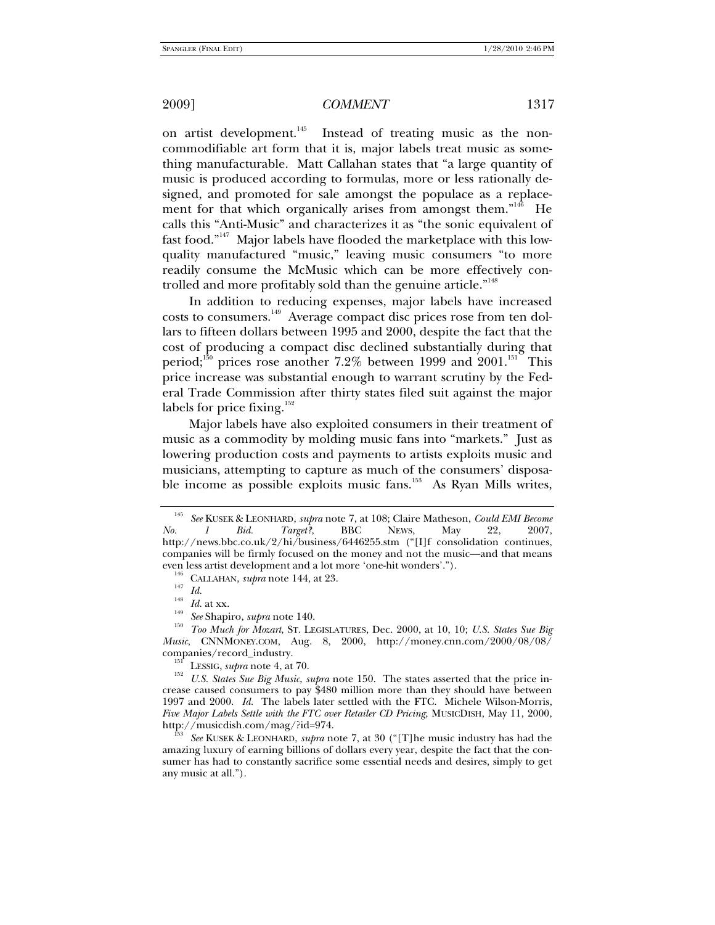on artist development.<sup>145</sup> Instead of treating music as the noncommodifiable art form that it is, major labels treat music as something manufacturable. Matt Callahan states that "a large quantity of music is produced according to formulas, more or less rationally designed, and promoted for sale amongst the populace as a replacement for that which organically arises from amongst them."<sup>146</sup> He calls this "Anti-Music" and characterizes it as "the sonic equivalent of fast food."147 Major labels have flooded the marketplace with this lowquality manufactured "music," leaving music consumers "to more readily consume the McMusic which can be more effectively controlled and more profitably sold than the genuine article."<sup>148</sup>

In addition to reducing expenses, major labels have increased costs to consumers.<sup>149</sup> Average compact disc prices rose from ten dollars to fifteen dollars between 1995 and 2000, despite the fact that the cost of producing a compact disc declined substantially during that period;<sup>150</sup> prices rose another 7.2% between 1999 and 2001.<sup>151</sup> This price increase was substantial enough to warrant scrutiny by the Federal Trade Commission after thirty states filed suit against the major labels for price fixing. $152$ 

Major labels have also exploited consumers in their treatment of music as a commodity by molding music fans into "markets." Just as lowering production costs and payments to artists exploits music and musicians, attempting to capture as much of the consumers' disposable income as possible exploits music fans.<sup>153</sup> As Ryan Mills writes,

<sup>146</sup> CALLAHAN, *supra* note 144, at 23.<br><sup>147</sup> Id.<br><sup>148</sup> Id. at xx.<br><sup>149</sup> See Shapiro, *supra* note 140.<br><sup>150</sup> Too Much for Mozart, ST. LEGISLATURES, Dec. 2000, at 10, 10; U.S. States Sue Big *Music*, CNNMONEY.COM, Aug. 8, 2000, http://money.cnn.com/2000/08/08/

<sup>151</sup> LESSIG, *supra* note 4, at 70. 152 Lessig, *supra* note 150. The states asserted that the price in-<br><sup>152</sup> U.S. States Sue Big Music, *supra* note 150. The states asserted that the price increase caused consumers to pay \$480 million more than they should have between 1997 and 2000. *Id.* The labels later settled with the FTC. Michele Wilson-Morris, *Five Major Labels Settle with the FTC over Retailer CD Pricing*, MUSICDISH, May 11, 2000, http://musicdish.com/mag/?id=974.

http://wusic.org/Edustration.com/mag/2014/2015 See KUSEK & LEONHARD, *supra* note 7, at 30 ("[T]he music industry has had the amazing luxury of earning billions of dollars every year, despite the fact that the consumer has had to constantly sacrifice some essential needs and desires, simply to get any music at all.").

<sup>145</sup> *See* KUSEK & LEONHARD, *supra* note 7, at 108; Claire Matheson, *Could EMI Become No. 1 Bid. Target?*, BBC NEWS, May 22, 2007, http://news.bbc.co.uk/2/hi/business/6446255.stm ("[I]f consolidation continues, companies will be firmly focused on the money and not the music—and that means even less artist development and a lot more 'one-hit wonders'.").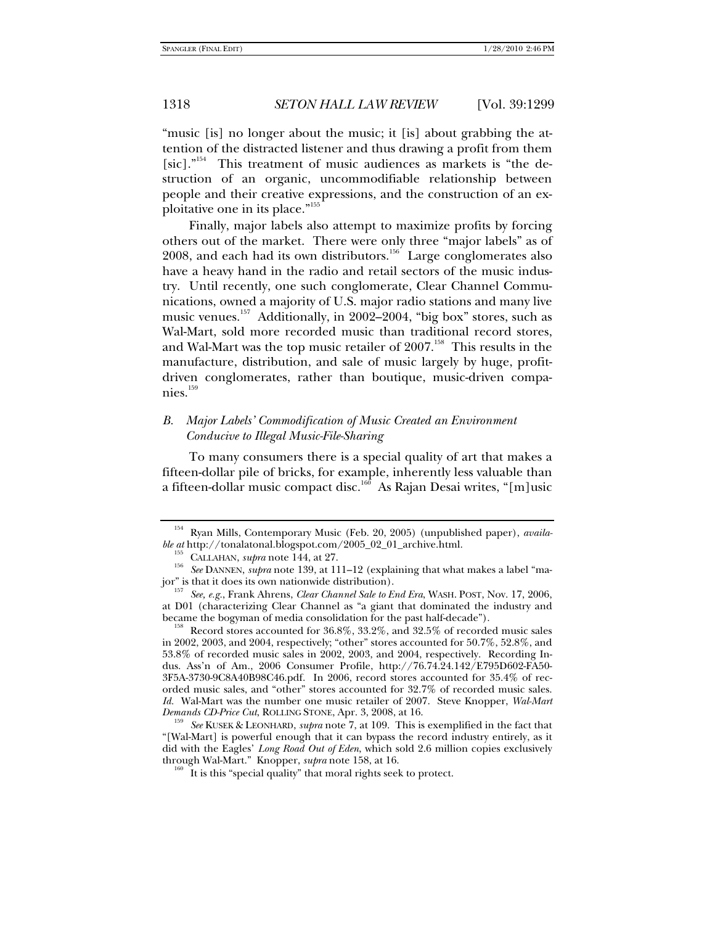"music [is] no longer about the music; it [is] about grabbing the attention of the distracted listener and thus drawing a profit from them [sic]."<sup>154</sup> This treatment of music audiences as markets is "the destruction of an organic, uncommodifiable relationship between people and their creative expressions, and the construction of an exploitative one in its place."155

Finally, major labels also attempt to maximize profits by forcing others out of the market. There were only three "major labels" as of 2008, and each had its own distributors.<sup>156</sup> Large conglomerates also have a heavy hand in the radio and retail sectors of the music industry. Until recently, one such conglomerate, Clear Channel Communications, owned a majority of U.S. major radio stations and many live music venues.157 Additionally, in 2002–2004, "big box" stores, such as Wal-Mart, sold more recorded music than traditional record stores, and Wal-Mart was the top music retailer of  $2007$ .<sup>158</sup> This results in the manufacture, distribution, and sale of music largely by huge, profitdriven conglomerates, rather than boutique, music-driven companies.<sup>159</sup>

# *B. Major Labels' Commodification of Music Created an Environment Conducive to Illegal Music-File-Sharing*

To many consumers there is a special quality of art that makes a fifteen-dollar pile of bricks, for example, inherently less valuable than a fifteen-dollar music compact disc.160 As Rajan Desai writes, "[m]usic

 $b^{158}$  Record stores accounted for 36.8%, 33.2%, and 32.5% of recorded music sales in 2002, 2003, and 2004, respectively; "other" stores accounted for 50.7%, 52.8%, and 53.8% of recorded music sales in 2002, 2003, and 2004, respectively. Recording Indus. Ass'n of Am., 2006 Consumer Profile, http://76.74.24.142/E795D602-FA50- 3F5A-3730-9C8A40B98C46.pdf. In 2006, record stores accounted for 35.4% of recorded music sales, and "other" stores accounted for 32.7% of recorded music sales. *Id.* Wal-Mart was the number one music retailer of 2007. Steve Knopper, *Wal-Mart* 

*See* KUSEK & LEONHARD, *supra* note 7, at 109. This is exemplified in the fact that "[Wal-Mart] is powerful enough that it can bypass the record industry entirely, as it did with the Eagles' *Long Road Out of Eden*, which sold 2.6 million copies exclusively through Wal-Mart." Knopper, *supra* note 158, at 16.

<sup>&</sup>lt;sup>154</sup> Ryan Mills, Contemporary Music (Feb. 20, 2005) (unpublished paper), *availa-*<br>ble at http://tonalatonal.blogspot.com/2005\_02\_01\_archive.html.

<sup>&</sup>lt;sup>155</sup> CALLAHAN, *supra* note 144, at 27. *See DANNEN, supra* note 139, at 111–12 (explaining that what makes a label "major" is that it does its own nationwide distribution). 157 *See, e.g.*, Frank Ahrens, *Clear Channel Sale to End Era*, WASH. POST, Nov. 17, 2006,

at D01 (characterizing Clear Channel as "a giant that dominated the industry and became the bogyman of media consolidation for the past half-decade").

 $^{160}$  It is this "special quality" that moral rights seek to protect.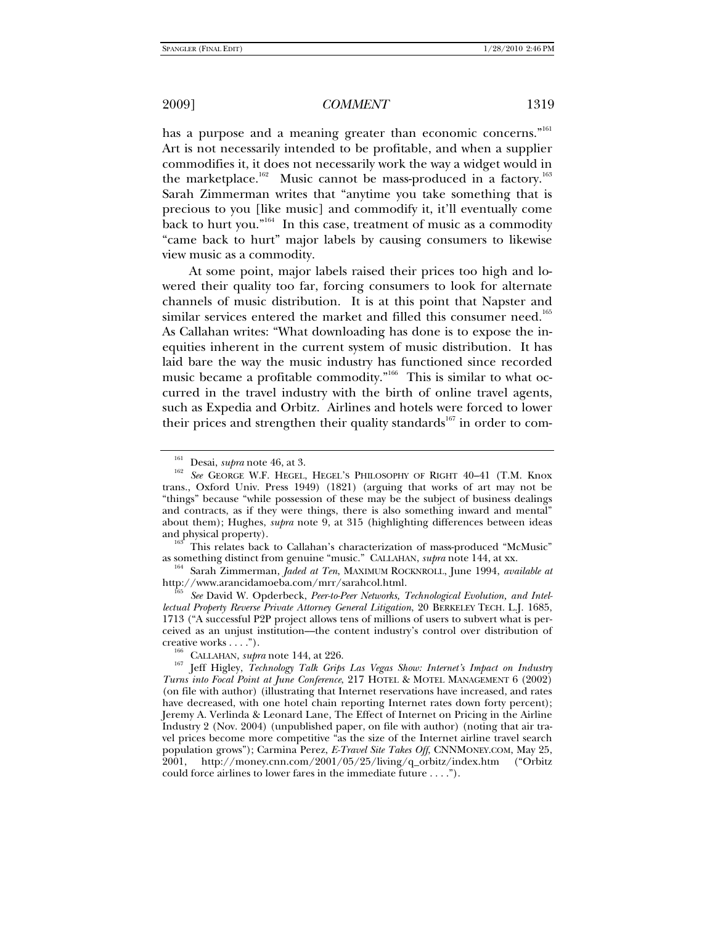has a purpose and a meaning greater than economic concerns."<sup>161</sup> Art is not necessarily intended to be profitable, and when a supplier commodifies it, it does not necessarily work the way a widget would in the marketplace.<sup>162</sup> Music cannot be mass-produced in a factory.<sup>163</sup> Sarah Zimmerman writes that "anytime you take something that is precious to you [like music] and commodify it, it'll eventually come back to hurt you."<sup>164</sup> In this case, treatment of music as a commodity "came back to hurt" major labels by causing consumers to likewise view music as a commodity.

At some point, major labels raised their prices too high and lowered their quality too far, forcing consumers to look for alternate channels of music distribution. It is at this point that Napster and similar services entered the market and filled this consumer need.<sup>165</sup> As Callahan writes: "What downloading has done is to expose the inequities inherent in the current system of music distribution. It has laid bare the way the music industry has functioned since recorded music became a profitable commodity."<sup>166</sup> This is similar to what occurred in the travel industry with the birth of online travel agents, such as Expedia and Orbitz. Airlines and hotels were forced to lower their prices and strengthen their quality standards<sup>167</sup> in order to com-

<sup>&</sup>lt;sup>161</sup> Desai, *supra* note 46, at 3.<br><sup>162</sup> See GEORGE W.F. HEGEL, HEGEL'S PHILOSOPHY OF RIGHT 40–41 (T.M. Knox trans., Oxford Univ. Press 1949) (1821) (arguing that works of art may not be "things" because "while possession of these may be the subject of business dealings and contracts, as if they were things, there is also something inward and mental" about them); Hughes, *supra* note 9, at 315 (highlighting differences between ideas

and physical property).<br><sup>163</sup> This relates back to Callahan's characterization of mass-produced "McMusic"<br>as something distinct from genuine "music." CALLAHAN, *supra* note 144, at xx.

<sup>&</sup>lt;sup>164</sup> Sarah Zimmerman, *Jaded at Ten*, MAXIMUM ROCKNROLL, June 1994, *available at* http://www.arancidamoeba.com/mrr/sarahcol.html.

See David W. Opderbeck, Peer-to-Peer Networks, Technological Evolution, and Intel*lectual Property Reverse Private Attorney General Litigation*, 20 BERKELEY TECH. L.J. 1685, 1713 ("A successful P2P project allows tens of millions of users to subvert what is perceived as an unjust institution––the content industry's control over distribution of

<sup>&</sup>lt;sup>166</sup> CALLAHAN, *supra* note 144, at 226.<br><sup>167</sup> Jeff Higley, *Technology Talk Grips Las Vegas Show: Internet's Impact on Industry Turns into Focal Point at June Conference*, 217 HOTEL & MOTEL MANAGEMENT 6 (2002) (on file with author) (illustrating that Internet reservations have increased, and rates have decreased, with one hotel chain reporting Internet rates down forty percent); Jeremy A. Verlinda & Leonard Lane, The Effect of Internet on Pricing in the Airline Industry 2 (Nov. 2004) (unpublished paper, on file with author) (noting that air travel prices become more competitive "as the size of the Internet airline travel search population grows"); Carmina Perez, *E-Travel Site Takes Off*, CNNMONEY.COM, May 25, 2001, http://money.cnn.com/2001/05/25/living/q\_orbitz/index.htm ("Orbitz could force airlines to lower fares in the immediate future . . . .").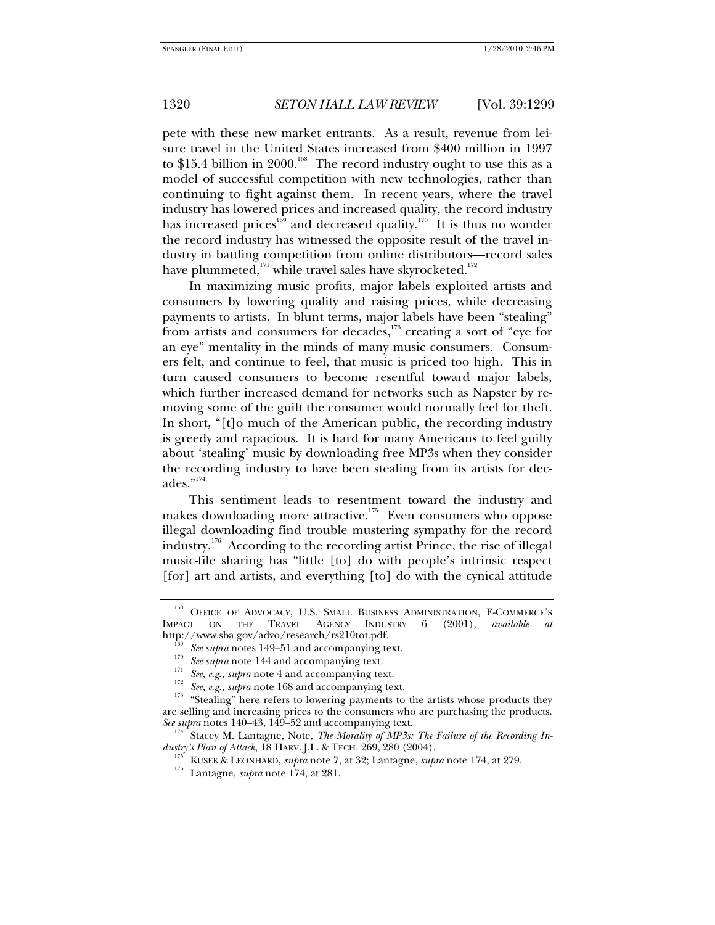pete with these new market entrants. As a result, revenue from leisure travel in the United States increased from \$400 million in 1997 to \$15.4 billion in 2000.<sup>168</sup> The record industry ought to use this as a model of successful competition with new technologies, rather than continuing to fight against them. In recent years, where the travel industry has lowered prices and increased quality, the record industry has increased prices<sup>169</sup> and decreased quality.<sup>170</sup> It is thus no wonder the record industry has witnessed the opposite result of the travel industry in battling competition from online distributors—record sales have plummeted, $^{171}$  while travel sales have skyrocketed.<sup>172</sup>

In maximizing music profits, major labels exploited artists and consumers by lowering quality and raising prices, while decreasing payments to artists. In blunt terms, major labels have been "stealing" from artists and consumers for decades,<sup>173</sup> creating a sort of "eye for an eye" mentality in the minds of many music consumers. Consumers felt, and continue to feel, that music is priced too high. This in turn caused consumers to become resentful toward major labels, which further increased demand for networks such as Napster by removing some of the guilt the consumer would normally feel for theft. In short, "[t]o much of the American public, the recording industry is greedy and rapacious. It is hard for many Americans to feel guilty about 'stealing' music by downloading free MP3s when they consider the recording industry to have been stealing from its artists for decades."174

This sentiment leads to resentment toward the industry and makes downloading more attractive.<sup>175</sup> Even consumers who oppose illegal downloading find trouble mustering sympathy for the record industry.<sup>176</sup> According to the recording artist Prince, the rise of illegal music-file sharing has "little [to] do with people's intrinsic respect [for] art and artists, and everything [to] do with the cynical attitude

<sup>&</sup>lt;sup>168</sup> OFFICE OF ADVOCACY, U.S. SMALL BUSINESS ADMINISTRATION, E-COMMERCE'S IMPACT ON THE TRAVEL AGENCY INDUSTRY 6 (2001), *available at*

<sup>&</sup>lt;sup>169</sup> See supra notes 149–51 and accompanying text.<br><sup>170</sup> See supra note 144 and accompanying text.<br><sup>171</sup> See, e.g., supra note 4 and accompanying text.<br><sup>172</sup> See, e.g., supra note 168 and accompanying text.<br><sup>173</sup> "Steali are selling and increasing prices to the consumers who are purchasing the products.<br>See supra notes 140–43, 149–52 and accompanying text.

<sup>&</sup>lt;sup>174</sup> Stacey M. Lantagne, Note, *The Morality of MP3s: The Failure of the Recording Industry's Plan of Attack*, 18 HARV. J.L. & TECH. 269, 280 (2004).

*dustry's Plan of Attack*, 18 HARV. J.L. & TECH. 269, 280 (2004). 175 KUSEK & LEONHARD, *supra* note 7, at 32; Lantagne, *supra* note 174, at 279. 176 Lantagne, *supra* note 174, at 281.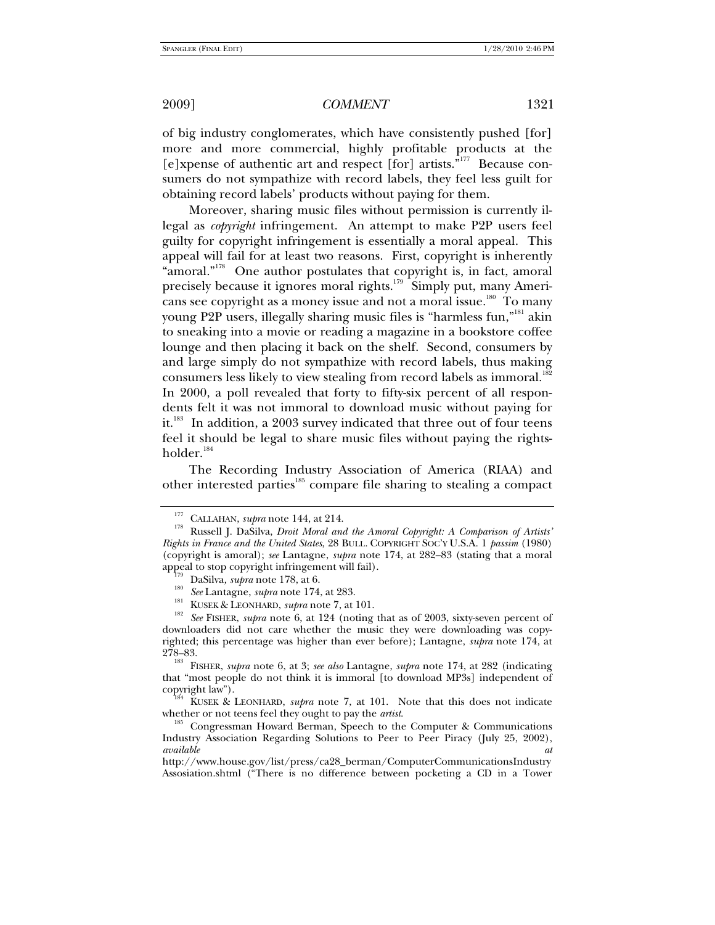of big industry conglomerates, which have consistently pushed [for] more and more commercial, highly profitable products at the [e]xpense of authentic art and respect [for] artists.<sup>"177</sup> Because consumers do not sympathize with record labels, they feel less guilt for obtaining record labels' products without paying for them.

Moreover, sharing music files without permission is currently illegal as *copyright* infringement. An attempt to make P2P users feel guilty for copyright infringement is essentially a moral appeal. This appeal will fail for at least two reasons. First, copyright is inherently "amoral."<sup>178</sup> One author postulates that copyright is, in fact, amoral precisely because it ignores moral rights.<sup>179</sup> Simply put, many Americans see copyright as a money issue and not a moral issue.<sup>180</sup> To many young P2P users, illegally sharing music files is "harmless fun,"<sup>181</sup> akin to sneaking into a movie or reading a magazine in a bookstore coffee lounge and then placing it back on the shelf. Second, consumers by and large simply do not sympathize with record labels, thus making consumers less likely to view stealing from record labels as immoral.<sup>182</sup> In 2000, a poll revealed that forty to fifty-six percent of all respondents felt it was not immoral to download music without paying for it.<sup>183</sup> In addition, a 2003 survey indicated that three out of four teens feel it should be legal to share music files without paying the rightsholder.<sup>184</sup>

The Recording Industry Association of America (RIAA) and other interested parties<sup>185</sup> compare file sharing to stealing a compact

<sup>&</sup>lt;sup>177</sup> CALLAHAN, *supra* note 144, at 214.<br><sup>178</sup> Russell J. DaSilva, *Droit Moral and the Amoral Copyright: A Comparison of Artists' Rights in France and the United States*, 28 BULL. COPYRIGHT SOC'Y U.S.A. 1 *passim* (1980) (copyright is amoral); *see* Lantagne, *supra* note 174, at 282–83 (stating that a moral

DaSilva, *supra* note 178, at 6.<br>
<sup>180</sup> See Lantagne, *supra* note 174, at 283.<br>
<sup>181</sup> KUSEK & LEONHARD, *supra* note 7, at 101.<br>
<sup>182</sup> See FISHER, *supra* note 6, at 124 (noting that as of 2003, sixty-seven percent of downloaders did not care whether the music they were downloading was copyrighted; this percentage was higher than ever before); Lantagne, *supra* note 174, at

<sup>278–83. 183</sup> FISHER, *supra* note 6, at 3; *see also* Lantagne, *supra* note 174, at 282 (indicating that "most people do not think it is immoral [to download MP3s] independent of

copyright law"). 184 KUSEK & LEONHARD, *supra* note 7, at 101. Note that this does not indicate whether or not teens feel they ought to pay the *artist*.<br><sup>185</sup> Congressman Howard Berman, Speech to the Computer & Communications

Industry Association Regarding Solutions to Peer to Peer Piracy (July 25, 2002), *available at*

http://www.house.gov/list/press/ca28\_berman/ComputerCommunicationsIndustry Assosiation.shtml ("There is no difference between pocketing a CD in a Tower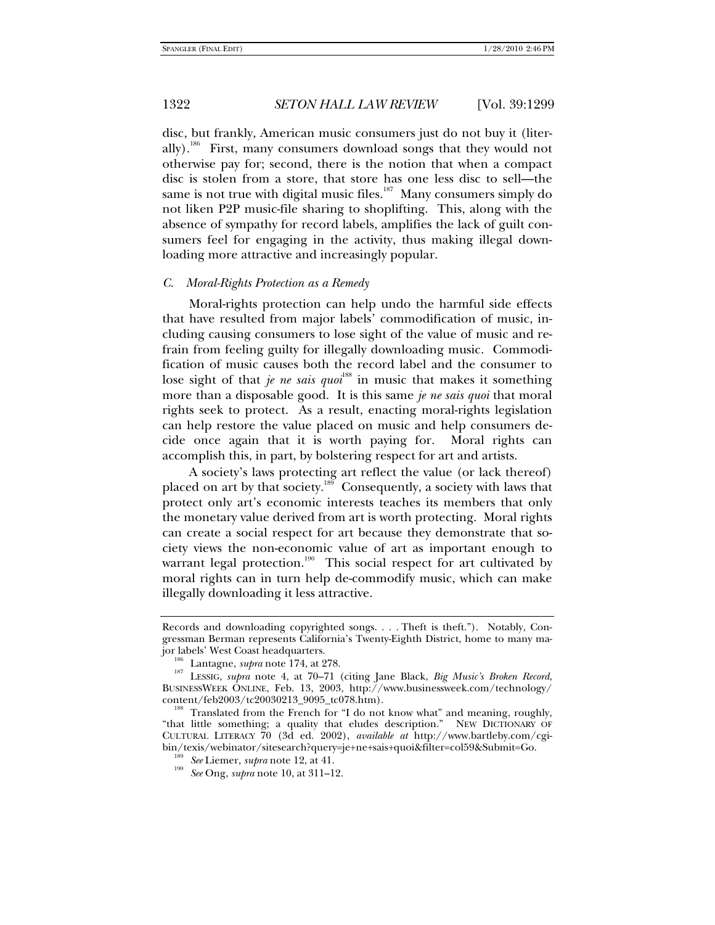disc, but frankly, American music consumers just do not buy it (literally).<sup>186</sup> First, many consumers download songs that they would not otherwise pay for; second, there is the notion that when a compact disc is stolen from a store, that store has one less disc to sell—the same is not true with digital music files. $187$  Many consumers simply do not liken P2P music-file sharing to shoplifting. This, along with the absence of sympathy for record labels, amplifies the lack of guilt consumers feel for engaging in the activity, thus making illegal downloading more attractive and increasingly popular.

### *C. Moral-Rights Protection as a Remedy*

Moral-rights protection can help undo the harmful side effects that have resulted from major labels' commodification of music, including causing consumers to lose sight of the value of music and refrain from feeling guilty for illegally downloading music. Commodification of music causes both the record label and the consumer to lose sight of that *je ne sais quoi*<sup>188</sup> in music that makes it something more than a disposable good. It is this same *je ne sais quoi* that moral rights seek to protect. As a result, enacting moral-rights legislation can help restore the value placed on music and help consumers decide once again that it is worth paying for. Moral rights can accomplish this, in part, by bolstering respect for art and artists.

A society's laws protecting art reflect the value (or lack thereof) placed on art by that society.<sup>189</sup> Consequently, a society with laws that protect only art's economic interests teaches its members that only the monetary value derived from art is worth protecting. Moral rights can create a social respect for art because they demonstrate that society views the non-economic value of art as important enough to warrant legal protection.<sup>190</sup> This social respect for art cultivated by moral rights can in turn help de-commodify music, which can make illegally downloading it less attractive.

Records and downloading copyrighted songs. . . . Theft is theft."). Notably, Congressman Berman represents California's Twenty-Eighth District, home to many ma-

jor labels' West Coast headquarters. 186 Lantagne, *supra* note 174, at 278. 187 LESSIG, *supra* note 4, at 70–71 (citing Jane Black, *Big Music's Broken Record*, BUSINESSWEEK ONLINE, Feb. 13, 2003, http://www.businessweek.com/technology/

 $^{188}$  Translated from the French for "I do not know what" and meaning, roughly, "that little something; a quality that eludes description." NEW DICTIONARY OF CULTURAL LITERACY 70 (3d ed. 2002), *available at* http://www.bartleby.com/cgibin/texis/webinator/sitesearch?query=je+ne+sais+quoi&filter=col59&Submit=Go. 189 *See* Liemer, *supra* note 12, at 41. 190 *See* Ong, *supra* note 10, at 311–12.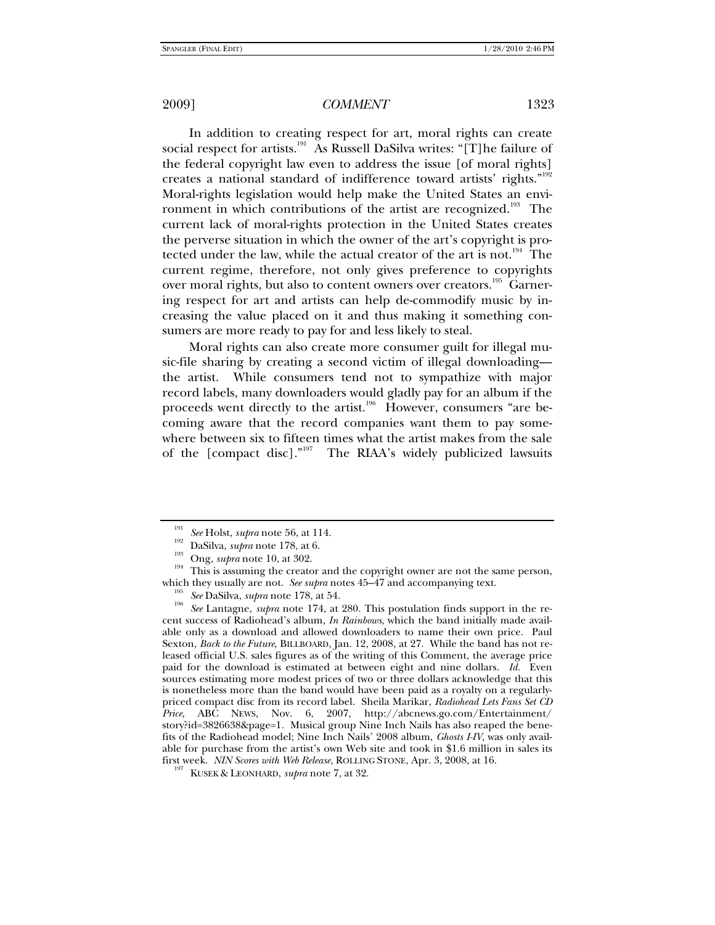In addition to creating respect for art, moral rights can create social respect for artists.<sup>191</sup> As Russell DaSilva writes: "[T]he failure of the federal copyright law even to address the issue [of moral rights] creates a national standard of indifference toward artists' rights."<sup>192</sup> Moral-rights legislation would help make the United States an environment in which contributions of the artist are recognized.<sup>193</sup> The current lack of moral-rights protection in the United States creates the perverse situation in which the owner of the art's copyright is protected under the law, while the actual creator of the art is not.<sup>194</sup> The current regime, therefore, not only gives preference to copyrights over moral rights, but also to content owners over creators.<sup>195</sup> Garnering respect for art and artists can help de-commodify music by increasing the value placed on it and thus making it something consumers are more ready to pay for and less likely to steal.

Moral rights can also create more consumer guilt for illegal music-file sharing by creating a second victim of illegal downloading the artist. While consumers tend not to sympathize with major record labels, many downloaders would gladly pay for an album if the proceeds went directly to the artist.<sup>196</sup> However, consumers "are becoming aware that the record companies want them to pay somewhere between six to fifteen times what the artist makes from the sale of the [compact disc]."<sup>197</sup> The RIAA's widely publicized lawsuits

<sup>195</sup> See DaSilva, *supra* note 178, at 54.<br><sup>196</sup> See Lantagne, *supra* note 174, at 280. This postulation finds support in the recent success of Radiohead's album, *In Rainbows*, which the band initially made available only as a download and allowed downloaders to name their own price. Paul Sexton, *Back to the Future*, BILLBOARD, Jan. 12, 2008, at 27. While the band has not released official U.S. sales figures as of the writing of this Comment, the average price paid for the download is estimated at between eight and nine dollars. *Id.* Even sources estimating more modest prices of two or three dollars acknowledge that this is nonetheless more than the band would have been paid as a royalty on a regularlypriced compact disc from its record label. Sheila Marikar, *Radiohead Lets Fans Set CD Price*, ABC NEWS, Nov. 6, 2007, http://abcnews.go.com/Entertainment/ story?id=3826638&page=1. Musical group Nine Inch Nails has also reaped the benefits of the Radiohead model; Nine Inch Nails' 2008 album, *Ghosts I-IV*, was only available for purchase from the artist's own Web site and took in \$1.6 million in sales its first week. *NIN Scores with Web Release*, ROLLING STONE, Apr. 3, 2008, at 16. 197 KUSEK & LEONHARD, *supra* note 7, at 32.

<sup>&</sup>lt;sup>191</sup> See Holst, *supra* note 56, at 114.<br><sup>192</sup> DaSilva, *supra* note 178, at 6.<br><sup>194</sup> Ong, *supra* note 10, at 302.<br>This is assuming the creator and the copyright owner are not the same person,<br>which they usually are not.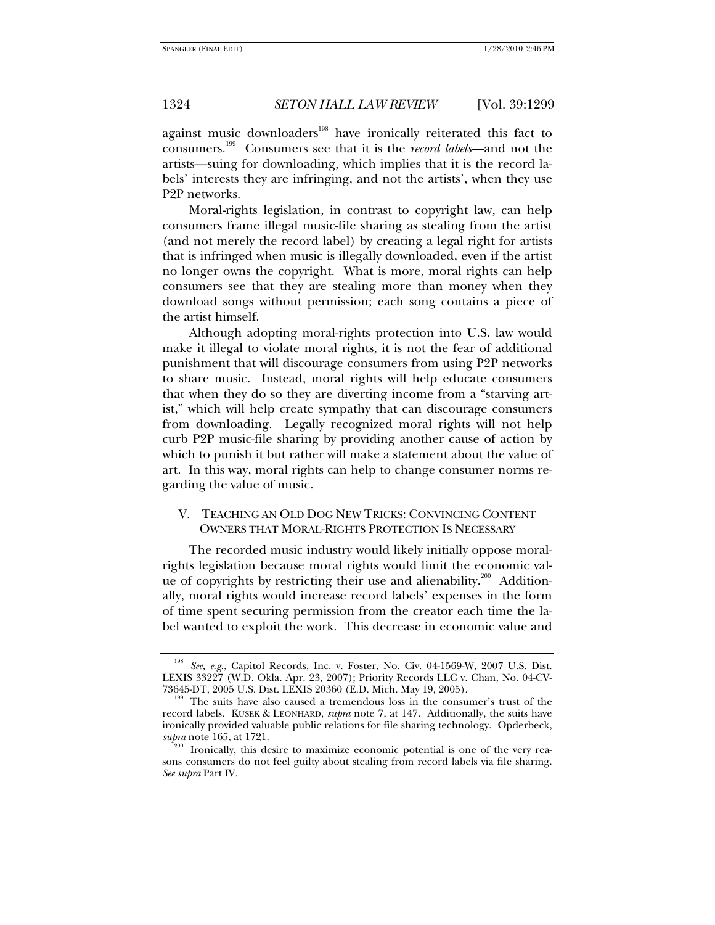against music downloaders<sup>198</sup> have ironically reiterated this fact to consumers.199 Consumers see that it is the *record labels*—and not the artists—suing for downloading, which implies that it is the record labels' interests they are infringing, and not the artists', when they use P2P networks.

Moral-rights legislation, in contrast to copyright law, can help consumers frame illegal music-file sharing as stealing from the artist (and not merely the record label) by creating a legal right for artists that is infringed when music is illegally downloaded, even if the artist no longer owns the copyright. What is more, moral rights can help consumers see that they are stealing more than money when they download songs without permission; each song contains a piece of the artist himself.

Although adopting moral-rights protection into U.S. law would make it illegal to violate moral rights, it is not the fear of additional punishment that will discourage consumers from using P2P networks to share music. Instead, moral rights will help educate consumers that when they do so they are diverting income from a "starving artist," which will help create sympathy that can discourage consumers from downloading. Legally recognized moral rights will not help curb P2P music-file sharing by providing another cause of action by which to punish it but rather will make a statement about the value of art. In this way, moral rights can help to change consumer norms regarding the value of music.

# V. TEACHING AN OLD DOG NEW TRICKS: CONVINCING CONTENT OWNERS THAT MORAL-RIGHTS PROTECTION IS NECESSARY

The recorded music industry would likely initially oppose moralrights legislation because moral rights would limit the economic value of copyrights by restricting their use and alienability.<sup>200</sup> Additionally, moral rights would increase record labels' expenses in the form of time spent securing permission from the creator each time the label wanted to exploit the work. This decrease in economic value and

See, e.g., Capitol Records, Inc. v. Foster, No. Civ. 04-1569-W, 2007 U.S. Dist. LEXIS 33227 (W.D. Okla. Apr. 23, 2007); Priority Records LLC v. Chan, No. 04-CV-73645-DT, 2005 U.S. Dist. LEXIS 20360 (E.D. Mich. May 19, 2005).

<sup>&</sup>lt;sup>199</sup> The suits have also caused a tremendous loss in the consumer's trust of the record labels. KUSEK & LEONHARD, *supra* note 7, at 147. Additionally, the suits have ironically provided valuable public relations for file sharing technology. Opderbeck, subra note 165, at 1721.

Ironically, this desire to maximize economic potential is one of the very reasons consumers do not feel guilty about stealing from record labels via file sharing. *See supra* Part IV.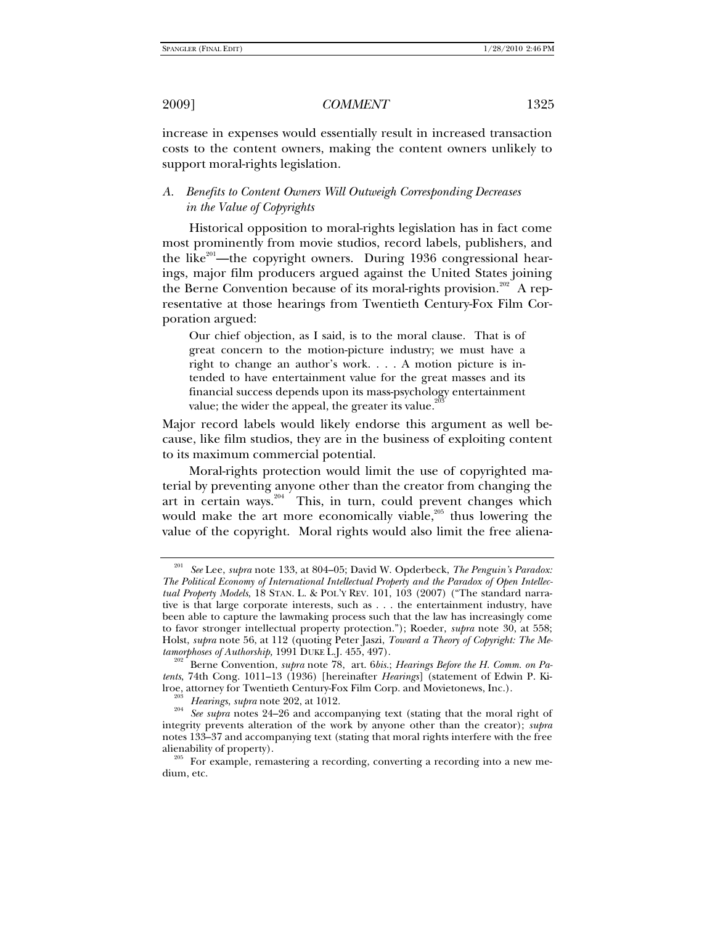increase in expenses would essentially result in increased transaction costs to the content owners, making the content owners unlikely to support moral-rights legislation.

# *A. Benefits to Content Owners Will Outweigh Corresponding Decreases in the Value of Copyrights*

Historical opposition to moral-rights legislation has in fact come most prominently from movie studios, record labels, publishers, and the like $^{201}$ —the copyright owners. During 1936 congressional hearings, major film producers argued against the United States joining the Berne Convention because of its moral-rights provision.<sup>202</sup> A representative at those hearings from Twentieth Century-Fox Film Corporation argued:

Our chief objection, as I said, is to the moral clause. That is of great concern to the motion-picture industry; we must have a right to change an author's work. . . . A motion picture is intended to have entertainment value for the great masses and its financial success depends upon its mass-psychology entertainment value; the wider the appeal, the greater its value.

Major record labels would likely endorse this argument as well because, like film studios, they are in the business of exploiting content to its maximum commercial potential.

Moral-rights protection would limit the use of copyrighted material by preventing anyone other than the creator from changing the art in certain ways. $204$  This, in turn, could prevent changes which would make the art more economically viable, $205$  thus lowering the value of the copyright. Moral rights would also limit the free aliena-

<sup>201</sup> *See* Lee, *supra* note 133, at 804–05; David W. Opderbeck, *The Penguin's Paradox: The Political Economy of International Intellectual Property and the Paradox of Open Intellectual Property Models*, 18 STAN. L. & POL'Y REV. 101, 103 (2007) ("The standard narrative is that large corporate interests, such as . . . the entertainment industry, have been able to capture the lawmaking process such that the law has increasingly come to favor stronger intellectual property protection."); Roeder, *supra* note 30, at 558; Holst, *supra* note 56, at 112 (quoting Peter Jaszi, *Toward a Theory of Copyright: The Me-*

Berne Convention, *supra* note 78, art. 6*bis.*; *Hearings Before the H. Comm. on Patents*, 74th Cong. 1011–13 (1936) [hereinafter *Hearings*] (statement of Edwin P. Ki-

<sup>&</sup>lt;sup>203</sup> Hearings, *supra* note 202, at 1012.<br><sup>204</sup> See *supra* notes 24–26 and accompanying text (stating that the moral right of integrity prevents alteration of the work by anyone other than the creator); *supra* notes 133–37 and accompanying text (stating that moral rights interfere with the free alienability of property).<br><sup>205</sup> For example, remastering a recording, converting a recording into a new me-

dium, etc.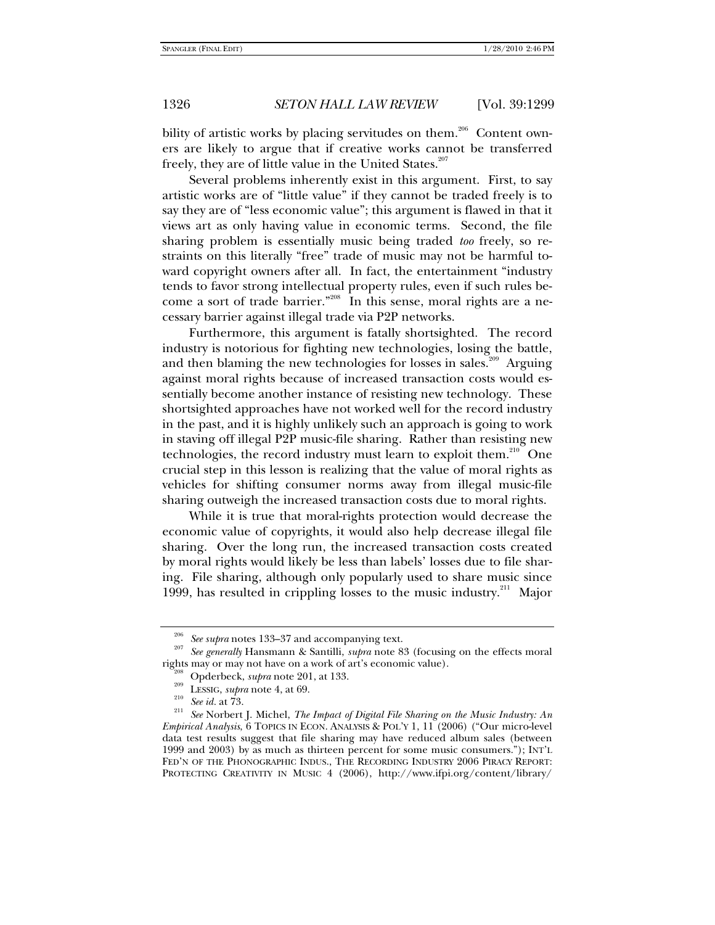bility of artistic works by placing servitudes on them.<sup>206</sup> Content owners are likely to argue that if creative works cannot be transferred freely, they are of little value in the United States.<sup>207</sup>

Several problems inherently exist in this argument. First, to say artistic works are of "little value" if they cannot be traded freely is to say they are of "less economic value"; this argument is flawed in that it views art as only having value in economic terms. Second, the file sharing problem is essentially music being traded *too* freely, so restraints on this literally "free" trade of music may not be harmful toward copyright owners after all. In fact, the entertainment "industry tends to favor strong intellectual property rules, even if such rules become a sort of trade barrier."<sup>208</sup> In this sense, moral rights are a necessary barrier against illegal trade via P2P networks.

Furthermore, this argument is fatally shortsighted. The record industry is notorious for fighting new technologies, losing the battle, and then blaming the new technologies for losses in sales.<sup>209</sup> Arguing against moral rights because of increased transaction costs would essentially become another instance of resisting new technology. These shortsighted approaches have not worked well for the record industry in the past, and it is highly unlikely such an approach is going to work in staving off illegal P2P music-file sharing. Rather than resisting new technologies, the record industry must learn to exploit them.<sup>210</sup> One crucial step in this lesson is realizing that the value of moral rights as vehicles for shifting consumer norms away from illegal music-file sharing outweigh the increased transaction costs due to moral rights.

While it is true that moral-rights protection would decrease the economic value of copyrights, it would also help decrease illegal file sharing. Over the long run, the increased transaction costs created by moral rights would likely be less than labels' losses due to file sharing. File sharing, although only popularly used to share music since 1999, has resulted in crippling losses to the music industry.<sup>211</sup> Major

<sup>&</sup>lt;sup>206</sup> See supra notes 133–37 and accompanying text.<br><sup>207</sup> See generally Hansmann & Santilli, *supra* note 83 (focusing on the effects moral<br>rights may or may not have on a work of art's economic value).

<sup>&</sup>lt;sup>208</sup> Opderbeck, *supra* note 201, at 133.<br><sup>209</sup> LESSIG, *supra* note 4, at 69.<br><sup>210</sup> See id. at 73.<br><sup>211</sup> See Norbert J. Michel, *The Impact of Digital File Sharing on the Music Industry: An Empirical Analysis*, 6 TOPICS IN ECON. ANALYSIS & POL'Y 1, 11 (2006) ("Our micro-level data test results suggest that file sharing may have reduced album sales (between 1999 and 2003) by as much as thirteen percent for some music consumers."); INT'L FED'N OF THE PHONOGRAPHIC INDUS., THE RECORDING INDUSTRY 2006 PIRACY REPORT: PROTECTING CREATIVITY IN MUSIC 4 (2006), http://www.ifpi.org/content/library/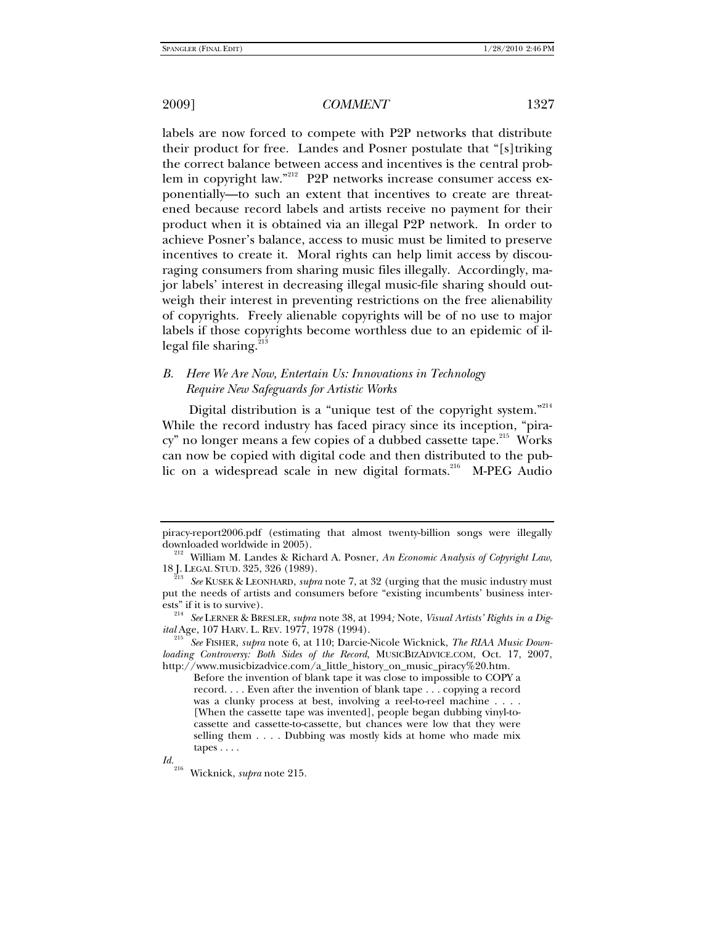labels are now forced to compete with P2P networks that distribute their product for free. Landes and Posner postulate that "[s]triking the correct balance between access and incentives is the central problem in copyright law."<sup>212</sup> P2P networks increase consumer access exponentially—to such an extent that incentives to create are threatened because record labels and artists receive no payment for their product when it is obtained via an illegal P2P network. In order to achieve Posner's balance, access to music must be limited to preserve incentives to create it. Moral rights can help limit access by discouraging consumers from sharing music files illegally. Accordingly, major labels' interest in decreasing illegal music-file sharing should outweigh their interest in preventing restrictions on the free alienability of copyrights. Freely alienable copyrights will be of no use to major labels if those copyrights become worthless due to an epidemic of illegal file sharing. $^{2}$ 

# *B. Here We Are Now, Entertain Us: Innovations in Technology Require New Safeguards for Artistic Works*

Digital distribution is a "unique test of the copyright system."<sup>214</sup> While the record industry has faced piracy since its inception, "piracy" no longer means a few copies of a dubbed cassette tape.<sup>215</sup> Works can now be copied with digital code and then distributed to the public on a widespread scale in new digital formats.<sup>216</sup> M-PEG Audio

piracy-report2006.pdf (estimating that almost twenty-billion songs were illegally

<sup>&</sup>lt;sup>212</sup> William M. Landes & Richard A. Posner, An Economic Analysis of Copyright Law, 18 J. LEGAL STUD. 325, 326 (1989). 213 *See* KUSEK & LEONHARD, *supra* note 7, at 32 (urging that the music industry must

put the needs of artists and consumers before "existing incumbents' business inter-

ests" if it is to survive). 214 *See* LERNER & BRESLER, *supra* note 38, at 1994*;* Note, *Visual Artists' Rights in a Dig-*

*ital* Age, 107 HARV. L. REV. 1977, 1978 (1994). 215 *See* FISHER, *supra* note 6, at 110; Darcie-Nicole Wicknick, *The RIAA Music Downloading Controversy: Both Sides of the Record*, MUSICBIZADVICE.COM, Oct. 17, 2007, http://www.musicbizadvice.com/a\_little\_history\_on\_music\_piracy%20.htm.

Before the invention of blank tape it was close to impossible to COPY a record. . . . Even after the invention of blank tape . . . copying a record was a clunky process at best, involving a reel-to-reel machine . . . . [When the cassette tape was invented], people began dubbing vinyl-tocassette and cassette-to-cassette, but chances were low that they were selling them . . . . Dubbing was mostly kids at home who made mix tapes . . . .

*Id.*216 Wicknick, *supra* note 215*.*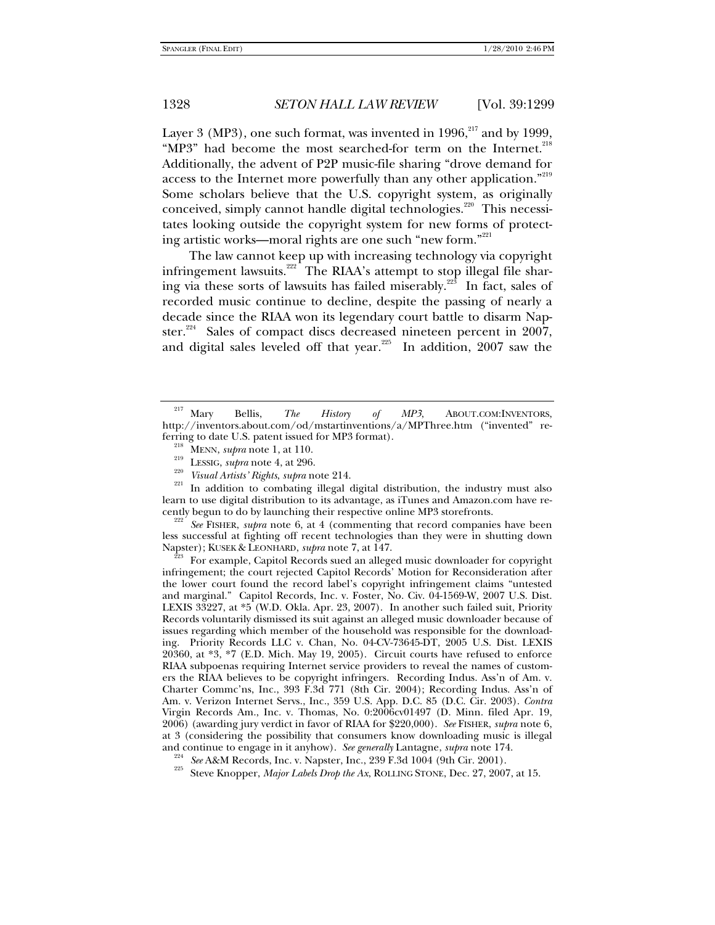Layer 3 (MP3), one such format, was invented in  $1996$ ,  $217$  and by 1999, "MP3" had become the most searched-for term on the Internet.<sup>218</sup> Additionally, the advent of P2P music-file sharing "drove demand for access to the Internet more powerfully than any other application."<sup>219</sup> Some scholars believe that the U.S. copyright system, as originally conceived, simply cannot handle digital technologies.<sup>220</sup> This necessitates looking outside the copyright system for new forms of protecting artistic works—moral rights are one such "new form."221

The law cannot keep up with increasing technology via copyright infringement lawsuits.<sup>222</sup> The RIAA's attempt to stop illegal file sharing via these sorts of lawsuits has failed miserably.<sup>223</sup> In fact, sales of recorded music continue to decline, despite the passing of nearly a decade since the RIAA won its legendary court battle to disarm Napster.<sup>224</sup> Sales of compact discs decreased nineteen percent in 2007, and digital sales leveled off that year.<sup>225</sup> In addition, 2007 saw the

Ferring to date U.S. patent issued for MP3 format).<br>
<sup>218</sup> MENN, *supra* note 1, at 110.<br>
<sup>219</sup> LESSIG, *supra* note 4, at 296.<br>
<sup>220</sup> Visual Artists' Rights, supra note 214.<br>
<sup>221</sup> In addition to combating illegal digita learn to use digital distribution to its advantage, as iTunes and Amazon.com have re-

<sup>222</sup> See FISHER, *supra* note 6, at 4 (commenting that record companies have been less successful at fighting off recent technologies than they were in shutting down<br>Napster); KUSEK & LEONHARD, *supra* note 7, at 147.

For example, Capitol Records sued an alleged music downloader for copyright infringement; the court rejected Capitol Records' Motion for Reconsideration after the lower court found the record label's copyright infringement claims "untested and marginal." Capitol Records, Inc. v. Foster, No. Civ. 04-1569-W, 2007 U.S. Dist. LEXIS 33227, at \*5 (W.D. Okla. Apr. 23, 2007). In another such failed suit, Priority Records voluntarily dismissed its suit against an alleged music downloader because of issues regarding which member of the household was responsible for the downloading. Priority Records LLC v. Chan, No. 04-CV-73645-DT, 2005 U.S. Dist. LEXIS  $20360$ , at  $*3$ ,  $*7$  (E.D. Mich. May 19, 2005). Circuit courts have refused to enforce RIAA subpoenas requiring Internet service providers to reveal the names of customers the RIAA believes to be copyright infringers. Recording Indus. Ass'n of Am. v. Charter Commc'ns, Inc., 393 F.3d 771 (8th Cir. 2004); Recording Indus. Ass'n of Am. v. Verizon Internet Servs., Inc., 359 U.S. App. D.C. 85 (D.C. Cir. 2003). *Contra*  Virgin Records Am., Inc. v. Thomas, No. 0:2006cv01497 (D. Minn. filed Apr. 19, 2006) (awarding jury verdict in favor of RIAA for \$220,000). *See* FISHER, *supra* note 6, at 3 (considering the possibility that consumers know downloading music is illegal and continue to engage in it anyhow). See generally Lantagne, supra note 174.

<sup>224</sup> See A&M Records, Inc. v. Napster, Inc., 239 F.3d 1004 (9th Cir. 2001).<br><sup>225</sup> Steve Knopper, *Major Labels Drop the Ax*, ROLLING STONE, Dec. 27, 2007, at 15.

<sup>217</sup> Mary Bellis, *The History of MP3*, ABOUT.COM:INVENTORS, http://inventors.about.com/od/mstartinventions/a/MPThree.htm ("invented" re-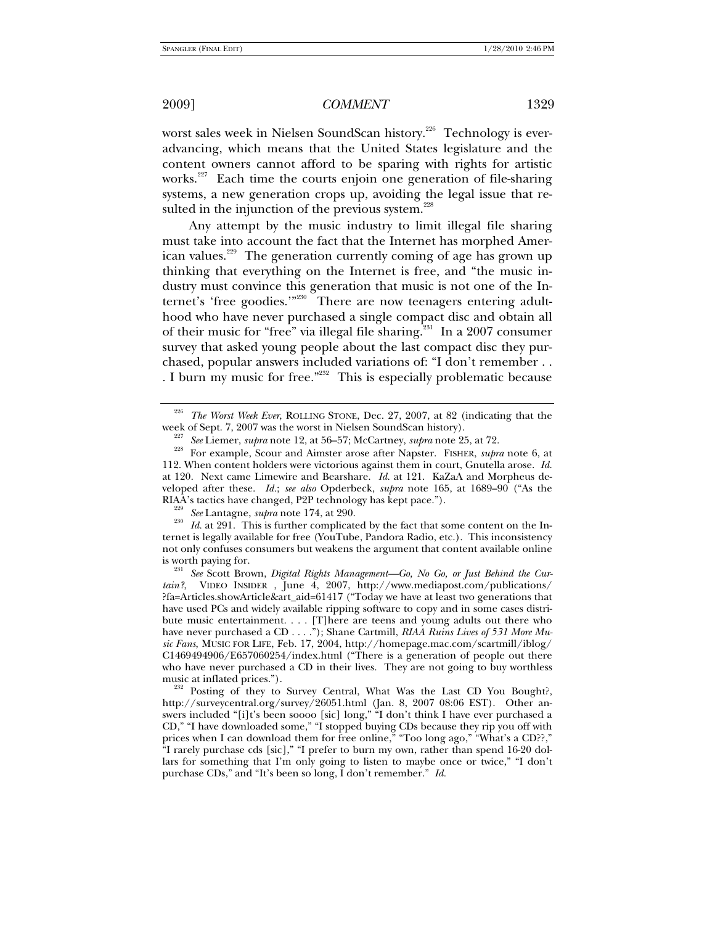worst sales week in Nielsen SoundScan history.<sup>226</sup> Technology is everadvancing, which means that the United States legislature and the content owners cannot afford to be sparing with rights for artistic works.<sup>227</sup> Each time the courts enjoin one generation of file-sharing systems, a new generation crops up, avoiding the legal issue that resulted in the injunction of the previous system. $\overline{a}$ 

Any attempt by the music industry to limit illegal file sharing must take into account the fact that the Internet has morphed American values.<sup>229</sup> The generation currently coming of age has grown up thinking that everything on the Internet is free, and "the music industry must convince this generation that music is not one of the Internet's 'free goodies."<sup>230</sup> There are now teenagers entering adulthood who have never purchased a single compact disc and obtain all of their music for "free" via illegal file sharing.<sup>231</sup> In a 2007 consumer survey that asked young people about the last compact disc they purchased, popular answers included variations of: "I don't remember . . . I burn my music for free."<sup>232</sup> This is especially problematic because

<sup>229</sup> See Lantagne, *supra* note 174, at 290.<br><sup>230</sup> Id. at 291. This is further complicated by the fact that some content on the Internet is legally available for free (YouTube, Pandora Radio, etc.). This inconsistency not only confuses consumers but weakens the argument that content available online

is worth paying for. 231 *See* Scott Brown, *Digital Rights Management—Go, No Go, or Just Behind the Curtain?*, VIDEO INSIDER , June 4, 2007, http://www.mediapost.com/publications/ ?fa=Articles.showArticle&art\_aid=61417 ("Today we have at least two generations that have used PCs and widely available ripping software to copy and in some cases distribute music entertainment. . . . [T]here are teens and young adults out there who have never purchased a CD . . . ."); Shane Cartmill, *RIAA Ruins Lives of 531 More Music Fans*, MUSIC FOR LIFE, Feb. 17, 2004, http://homepage.mac.com/scartmill/iblog/ C1469494906/E657060254/index.html ("There is a generation of people out there who have never purchased a CD in their lives. They are not going to buy worthless

music at inflated prices.").<br><sup>232</sup> Posting of they to Survey Central, What Was the Last CD You Bought?, http://surveycentral.org/survey/26051.html (Jan. 8, 2007 08:06 EST). Other answers included "[i]t's been soooo [sic] long," "I don't think I have ever purchased a CD," "I have downloaded some," "I stopped buying CDs because they rip you off with prices when I can download them for free online," "Too long ago," "What's a CD??," "I rarely purchase cds [sic]," "I prefer to burn my own, rather than spend 16-20 dollars for something that I'm only going to listen to maybe once or twice," "I don't purchase CDs," and "It's been so long, I don't remember." *Id.* 

The Worst Week Ever, ROLLING STONE, Dec. 27, 2007, at 82 (indicating that the

week of Sept. 7, 2007 was the worst in Nielsen SoundScan history).<br><sup>227</sup> See Liemer, *supra* note 12, at 56–57; McCartney, *supra* note 25, at 72.<br><sup>228</sup> For example, Scour and Aimster arose after Napster. FISHER, *supra* n 112. When content holders were victorious against them in court, Gnutella arose. *Id.* at 120. Next came Limewire and Bearshare. *Id.* at 121. KaZaA and Morpheus developed after these. *Id.*; *see also* Opderbeck, *supra* note 165, at 1689–90 ("As the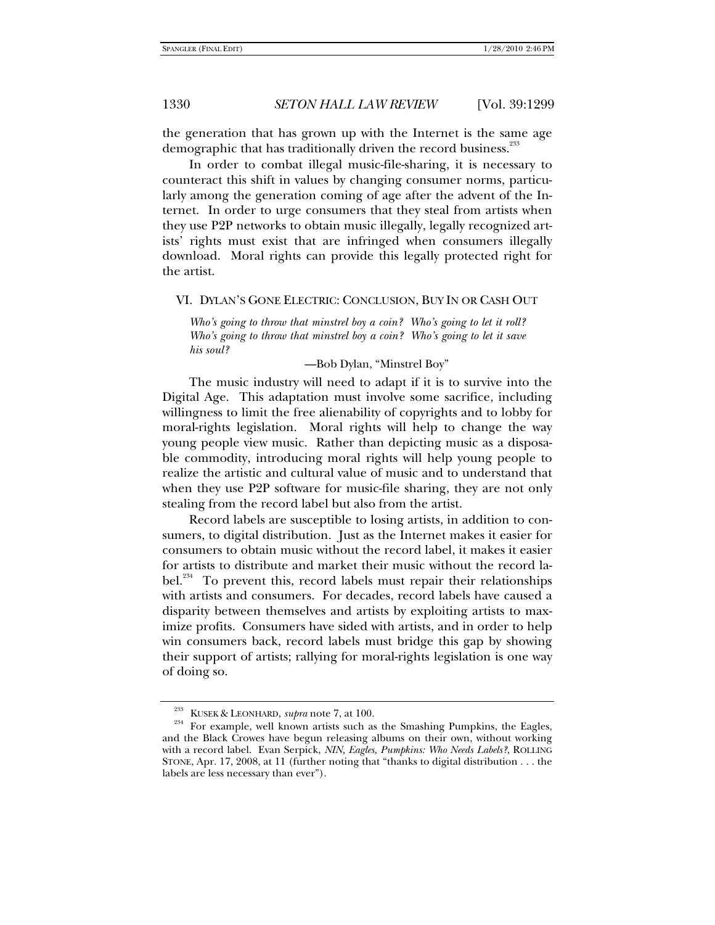the generation that has grown up with the Internet is the same age demographic that has traditionally driven the record business.<sup>233</sup>

In order to combat illegal music-file-sharing, it is necessary to counteract this shift in values by changing consumer norms, particularly among the generation coming of age after the advent of the Internet. In order to urge consumers that they steal from artists when they use P2P networks to obtain music illegally, legally recognized artists' rights must exist that are infringed when consumers illegally download. Moral rights can provide this legally protected right for the artist.

#### VI. DYLAN'S GONE ELECTRIC: CONCLUSION, BUY IN OR CASH OUT

*Who's going to throw that minstrel boy a coin? Who's going to let it roll? Who's going to throw that minstrel boy a coin? Who's going to let it save his soul?* 

### —Bob Dylan, "Minstrel Boy"

The music industry will need to adapt if it is to survive into the Digital Age. This adaptation must involve some sacrifice, including willingness to limit the free alienability of copyrights and to lobby for moral-rights legislation. Moral rights will help to change the way young people view music. Rather than depicting music as a disposable commodity, introducing moral rights will help young people to realize the artistic and cultural value of music and to understand that when they use P2P software for music-file sharing, they are not only stealing from the record label but also from the artist.

Record labels are susceptible to losing artists, in addition to consumers, to digital distribution. Just as the Internet makes it easier for consumers to obtain music without the record label, it makes it easier for artists to distribute and market their music without the record label.<sup>234</sup> To prevent this, record labels must repair their relationships with artists and consumers. For decades, record labels have caused a disparity between themselves and artists by exploiting artists to maximize profits. Consumers have sided with artists, and in order to help win consumers back, record labels must bridge this gap by showing their support of artists; rallying for moral-rights legislation is one way of doing so.

<sup>&</sup>lt;sup>233</sup> KUSEK & LEONHARD, *supra* note 7, at 100.  $\frac{234}{234}$  For example, well known artists such as the Smashing Pumpkins, the Eagles, and the Black Crowes have begun releasing albums on their own, without working with a record label. Evan Serpick, *NIN, Eagles, Pumpkins: Who Needs Labels?*, ROLLING STONE, Apr. 17, 2008, at 11 (further noting that "thanks to digital distribution . . . the labels are less necessary than ever").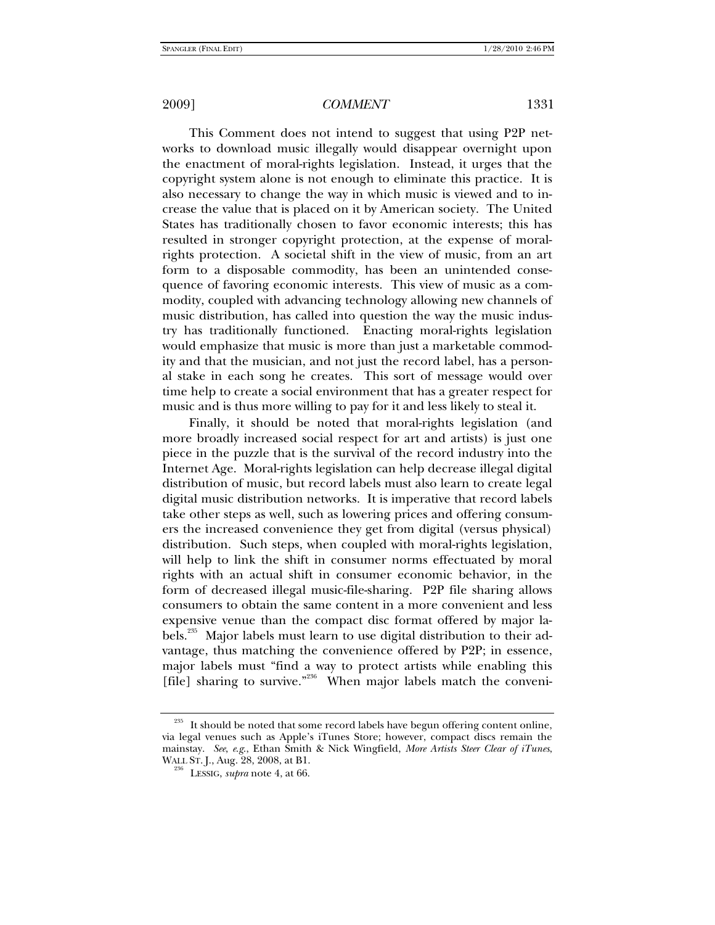This Comment does not intend to suggest that using P2P networks to download music illegally would disappear overnight upon the enactment of moral-rights legislation. Instead, it urges that the copyright system alone is not enough to eliminate this practice. It is also necessary to change the way in which music is viewed and to increase the value that is placed on it by American society. The United States has traditionally chosen to favor economic interests; this has resulted in stronger copyright protection, at the expense of moralrights protection. A societal shift in the view of music, from an art form to a disposable commodity, has been an unintended consequence of favoring economic interests. This view of music as a commodity, coupled with advancing technology allowing new channels of music distribution, has called into question the way the music industry has traditionally functioned. Enacting moral-rights legislation would emphasize that music is more than just a marketable commodity and that the musician, and not just the record label, has a personal stake in each song he creates. This sort of message would over time help to create a social environment that has a greater respect for music and is thus more willing to pay for it and less likely to steal it.

Finally, it should be noted that moral-rights legislation (and more broadly increased social respect for art and artists) is just one piece in the puzzle that is the survival of the record industry into the Internet Age. Moral-rights legislation can help decrease illegal digital distribution of music, but record labels must also learn to create legal digital music distribution networks. It is imperative that record labels take other steps as well, such as lowering prices and offering consumers the increased convenience they get from digital (versus physical) distribution. Such steps, when coupled with moral-rights legislation, will help to link the shift in consumer norms effectuated by moral rights with an actual shift in consumer economic behavior, in the form of decreased illegal music-file-sharing. P2P file sharing allows consumers to obtain the same content in a more convenient and less expensive venue than the compact disc format offered by major labels.<sup>235</sup> Major labels must learn to use digital distribution to their advantage, thus matching the convenience offered by P2P; in essence, major labels must "find a way to protect artists while enabling this [file] sharing to survive."<sup>236</sup> When major labels match the conveni-

It should be noted that some record labels have begun offering content online, via legal venues such as Apple's iTunes Store; however, compact discs remain the mainstay. *See*, *e*.*g*., Ethan Smith & Nick Wingfield, *More Artists Steer Clear of iTunes*,

<sup>&</sup>lt;sup>236</sup> LESSIG, *supra* note 4, at 66.